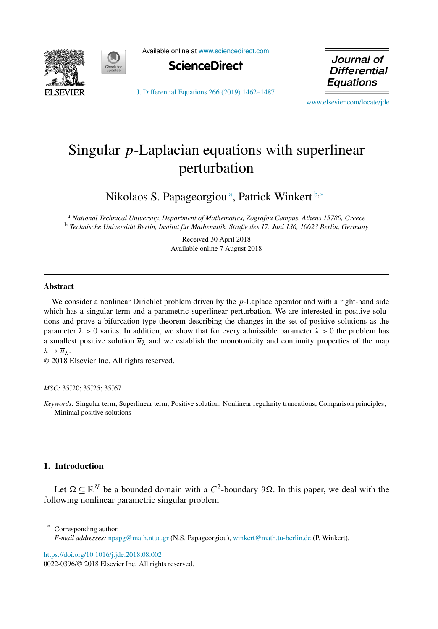



Available online at [www.sciencedirect.com](http://www.sciencedirect.com)



Journal of **Differential** Equations

[J. Differential Equations 266 \(2019\) 1462–1487](https://doi.org/10.1016/j.jde.2018.08.002)

[www.elsevier.com/locate/jde](http://www.elsevier.com/locate/jde)

# Singular *p*-Laplacian equations with superlinear perturbation

Nikolaos S. Papageorgiou<sup>a</sup>, Patrick Winkert b,\*

<sup>a</sup> *National Technical University, Department of Mathematics, Zografou Campus, Athens 15780, Greece* <sup>b</sup> *Technische Universität Berlin, Institut für Mathematik, Straße des 17. Juni 136, 10623 Berlin, Germany*

> Received 30 April 2018 Available online 7 August 2018

## **Abstract**

We consider a nonlinear Dirichlet problem driven by the *p*-Laplace operator and with a right-hand side which has a singular term and a parametric superlinear perturbation. We are interested in positive solutions and prove a bifurcation-type theorem describing the changes in the set of positive solutions as the parameter  $\lambda > 0$  varies. In addition, we show that for every admissible parameter  $\lambda > 0$  the problem has a smallest positive solution  $\overline{u}_{\lambda}$  and we establish the monotonicity and continuity properties of the map  $λ \rightarrow \overline{u}_λ$ .

© 2018 Elsevier Inc. All rights reserved.

*MSC:* 35J20; 35J25; 35J67

*Keywords:* Singular term; Superlinear term; Positive solution; Nonlinear regularity truncations; Comparison principles; Minimal positive solutions

## **1. Introduction**

Let  $Ω ⊂ ℝ<sup>N</sup>$  be a bounded domain with a  $C<sup>2</sup>$ -boundary  $∂Ω$ . In this paper, we deal with the following nonlinear parametric singular problem

Corresponding author.

<https://doi.org/10.1016/j.jde.2018.08.002>

*E-mail addresses:* [npapg@math.ntua.gr](mailto:npapg@math.ntua.gr) (N.S. Papageorgiou), [winkert@math.tu-berlin.de](mailto:winkert@math.tu-berlin.de) (P. Winkert).

<sup>0022-0396/</sup>© 2018 Elsevier Inc. All rights reserved.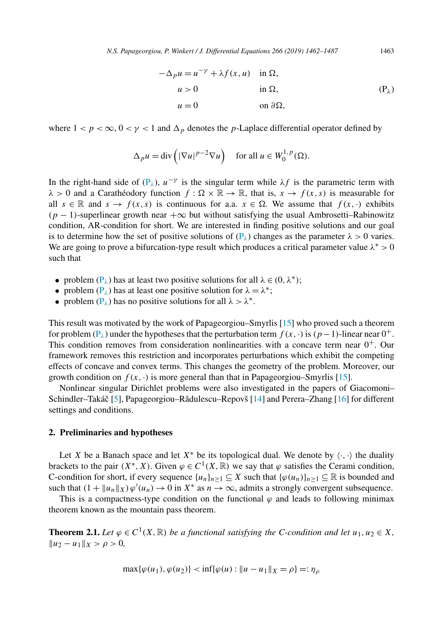$$
-\Delta_p u = u^{-\gamma} + \lambda f(x, u) \quad \text{in } \Omega,
$$
  
\n
$$
u > 0 \qquad \text{in } \Omega,
$$
  
\n
$$
u = 0 \qquad \text{on } \partial\Omega,
$$
  
\n(P<sub>\lambda</sub>)

<span id="page-1-0"></span>where  $1 < p < \infty$ ,  $0 < \gamma < 1$  and  $\Delta_p$  denotes the *p*-Laplace differential operator defined by

$$
\Delta_p u = \text{div}\left(|\nabla u|^{p-2} \nabla u\right) \quad \text{for all } u \in W_0^{1,p}(\Omega).
$$

In the right-hand side of (P<sub>λ</sub>),  $u^{-\gamma}$  is the singular term while  $\lambda f$  is the parametric term with  $\lambda > 0$  and a Carathéodory function  $f : \Omega \times \mathbb{R} \to \mathbb{R}$ , that is,  $x \to f(x, s)$  is measurable for all  $s \in \mathbb{R}$  and  $s \to f(x, s)$  is continuous for a.a.  $x \in \Omega$ . We assume that  $f(x, \cdot)$  exhibits  $(p-1)$ -superlinear growth near  $+\infty$  but without satisfying the usual Ambrosetti–Rabinowitz condition, AR-condition for short. We are interested in finding positive solutions and our goal is to determine how the set of positive solutions of  $(P_\lambda)$  changes as the parameter  $\lambda > 0$  varies. We are going to prove a bifurcation-type result which produces a critical parameter value  $\lambda^* > 0$ such that

- problem  $(P_{\lambda})$  has at least two positive solutions for all  $\lambda \in (0, \lambda^*)$ ;
- problem  $(P_{\lambda})$  has at least one positive solution for  $\lambda = \lambda^*$ ;
- problem  $(P_{\lambda})$  has no positive solutions for all  $\lambda > \lambda^*$ .

This result was motivated by the work of Papageorgiou–Smyrlis [\[15\]](#page-25-0) who proved such a theorem for problem ( $P_\lambda$ ) under the hypotheses that the perturbation term  $f(x, \cdot)$  is  $(p-1)$ -linear near  $0^+$ . This condition removes from consideration nonlinearities with a concave term near  $0^+$ . Our framework removes this restriction and incorporates perturbations which exhibit the competing effects of concave and convex terms. This changes the geometry of the problem. Moreover, our growth condition on  $f(x, \cdot)$  is more general than that in Papageorgiou–Smyrlis [\[15\]](#page-25-0).

Nonlinear singular Dirichlet problems were also investigated in the papers of Giacomoni– Schindler–Takáč [\[5\]](#page-25-0), Papageorgiou–Rădulescu–Repovš [\[14\]](#page-25-0) and Perera–Zhang [\[16\]](#page-25-0) for different settings and conditions.

#### **2. Preliminaries and hypotheses**

Let *X* be a Banach space and let  $X^*$  be its topological dual. We denote by  $\langle \cdot, \cdot \rangle$  the duality brackets to the pair  $(X^*, X)$ . Given  $\varphi \in C^1(X, \mathbb{R})$  we say that  $\varphi$  satisfies the Cerami condition, C-condition for short, if every sequence  $\{u_n\}_{n\geq 1} \subseteq X$  such that  $\{\varphi(u_n)\}_{n\geq 1} \subseteq \mathbb{R}$  is bounded and such that  $(1 + ||u_n||_X)\varphi'(u_n) \to 0$  in  $X^*$  as  $n \to \infty$ , admits a strongly convergent subsequence.

This is a compactness-type condition on the functional  $\varphi$  and leads to following minimax theorem known as the mountain pass theorem.

**Theorem 2.1.** Let  $\varphi \in C^1(X, \mathbb{R})$  *be a functional satisfying the C-condition and let*  $u_1, u_2 \in X$ ,  $||u_2 - u_1||_X > \rho > 0,$ 

$$
\max{\{\varphi(u_1), \varphi(u_2)\}} < \inf{\{\varphi(u) : \|u - u_1\|_X = \rho\}} =: \eta_\rho
$$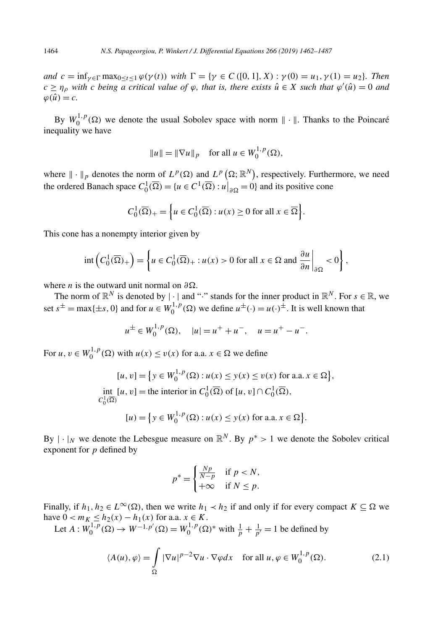<span id="page-2-0"></span>and  $c = \inf_{\gamma \in \Gamma} \max_{0 \le t \le 1} \varphi(\gamma(t))$  with  $\Gamma = \{ \gamma \in C([0, 1], X) : \gamma(0) = u_1, \gamma(1) = u_2 \}$ . Then  $c \geq \eta_{\rho}$  with c being a critical value of  $\varphi$ , that is, there exists  $\hat{u} \in X$  such that  $\varphi'(\hat{u}) = 0$  and  $\varphi(\hat{u}) = c$ .

By  $W_0^{1,p}(\Omega)$  we denote the usual Sobolev space with norm  $\|\cdot\|$ . Thanks to the Poincaré inequality we have

$$
||u|| = ||\nabla u||_p
$$
 for all  $u \in W_0^{1,p}(\Omega)$ ,

where  $\|\cdot\|_p$  denotes the norm of  $L^p(\Omega)$  and  $L^p(\Omega; \mathbb{R}^N)$ , respectively. Furthermore, we need the ordered Banach space  $C_0^1(\overline{\Omega}) = \{u \in C^1(\overline{\Omega}) : u\big|_{\partial \Omega} = 0\}$  and its positive cone

$$
C_0^1(\overline{\Omega})_+ = \left\{ u \in C_0^1(\overline{\Omega}) : u(x) \ge 0 \text{ for all } x \in \overline{\Omega} \right\}.
$$

This cone has a nonempty interior given by

$$
\mathrm{int}\left(C_0^1(\overline{\Omega})_+\right) = \left\{u \in C_0^1(\overline{\Omega})_+ : u(x) > 0 \text{ for all } x \in \Omega \text{ and } \frac{\partial u}{\partial n}\Big|_{\partial \Omega} < 0\right\},\
$$

where *n* is the outward unit normal on  $\partial \Omega$ .

The norm of  $\mathbb{R}^N$  is denoted by  $|\cdot|$  and "·" stands for the inner product in  $\mathbb{R}^N$ . For  $s \in \mathbb{R}$ , we set  $s^{\pm}$  = max{ $\pm s$ , 0} and for  $u \in W_0^{1,p}(\Omega)$  we define  $u^{\pm}(\cdot) = u(\cdot)^{\pm}$ . It is well known that

$$
u^{\pm} \in W_0^{1,p}(\Omega), \quad |u| = u^+ + u^-, \quad u = u^+ - u^-.
$$

For  $u, v \in W_0^{1,p}(\Omega)$  with  $u(x) \le v(x)$  for a.a.  $x \in \Omega$  we define

$$
[u, v] = \{ y \in W_0^{1, p}(\Omega) : u(x) \le y(x) \le v(x) \text{ for a.a. } x \in \Omega \},
$$
  
int 
$$
[u, v] = \text{the interior in } C_0^1(\overline{\Omega}) \text{ of } [u, v] \cap C_0^1(\overline{\Omega}),
$$
  

$$
[u] = \{ y \in W_0^{1, p}(\Omega) : u(x) \le y(x) \text{ for a.a. } x \in \Omega \}.
$$

By  $|\cdot|_N$  we denote the Lebesgue measure on  $\mathbb{R}^N$ . By  $p^* > 1$  we denote the Sobolev critical exponent for *p* defined by

$$
p^* = \begin{cases} \frac{Np}{N-p} & \text{if } p < N, \\ +\infty & \text{if } N \le p. \end{cases}
$$

Finally, if  $h_1, h_2 \in L^\infty(\Omega)$ , then we write  $h_1 \prec h_2$  if and only if for every compact  $K \subseteq \Omega$  we have  $0 < m_K ≤ h_2(x) - h_1(x)$  for a.a.  $x ∈ K$ .

Let  $A: W_0^{1,p}(\Omega) \to W^{-1,p'}(\Omega) = W_0^{1,p}(\Omega)^*$  with  $\frac{1}{p} + \frac{1}{p'} = 1$  be defined by

$$
\langle A(u), \varphi \rangle = \int_{\Omega} |\nabla u|^{p-2} \nabla u \cdot \nabla \varphi dx \quad \text{for all } u, \varphi \in W_0^{1, p}(\Omega). \tag{2.1}
$$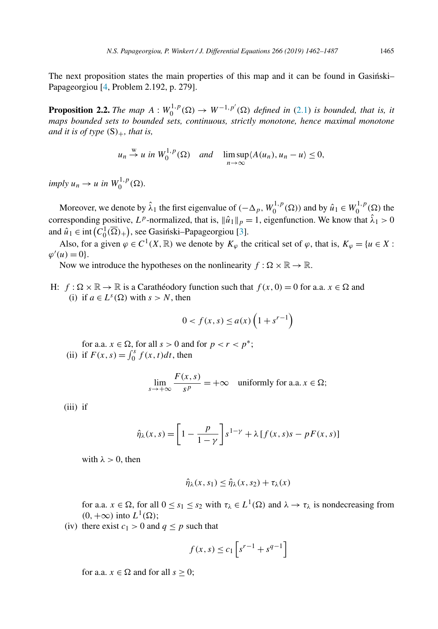<span id="page-3-0"></span>The next proposition states the main properties of this map and it can be found in Gasinski-Papageorgiou [\[4,](#page-25-0) Problem 2.192, p. 279].

**Proposition 2.2.** *The map*  $A: W_0^{1,p}(\Omega) \to W^{-1,p'}(\Omega)$  *defined in* [\(2.1\)](#page-2-0) *is bounded, that is, it maps bounded sets to bounded sets, continuous, strictly monotone, hence maximal monotone and it is of type*  $(S)_+$ *, that is,* 

$$
u_n \stackrel{w}{\rightarrow} u
$$
 in  $W_0^{1,p}(\Omega)$  and  $\limsup_{n \to \infty} \langle A(u_n), u_n - u \rangle \le 0$ ,

 $imply u_n \rightarrow u \text{ in } W_0^{1,p}(\Omega).$ 

Moreover, we denote by  $\hat{\lambda}_1$  the first eigenvalue of  $(-\Delta_p, W_0^{1,p}(\Omega))$  and by  $\hat{u}_1 \in W_0^{1,p}(\Omega)$  the corresponding positive, *L<sup>p</sup>*-normalized, that is,  $\|\hat{u}_1\|_p = 1$ , eigenfunction. We know that  $\hat{\lambda}_1 > 0$ and  $\hat{u}_1 \in \text{int}(C_0^1(\overline{\Omega})_+)$ , see Gasiński–Papageorgiou [\[3\]](#page-25-0).

Also, for a given  $\varphi \in C^1(X, \mathbb{R})$  we denote by  $K_{\varphi}$  the critical set of  $\varphi$ , that is,  $K_{\varphi} = \{u \in X :$  $\varphi'(u) = 0$ .

Now we introduce the hypotheses on the nonlinearity  $f : \Omega \times \mathbb{R} \to \mathbb{R}$ .

H:  $f: \Omega \times \mathbb{R} \to \mathbb{R}$  is a Carathéodory function such that  $f(x, 0) = 0$  for a.a.  $x \in \Omega$  and (i) if  $a \in L^{s}(\Omega)$  with  $s > N$ , then

$$
0 < f(x, s) \le a(x) \left(1 + s^{r-1}\right)
$$

for a.a.  $x \in \Omega$ , for all  $s > 0$  and for  $p < r < p^*$ ; (ii) if  $F(x, s) = \int_0^s f(x, t) dt$ , then

$$
\lim_{s \to +\infty} \frac{F(x, s)}{s^p} = +\infty \quad \text{uniformly for a.a. } x \in \Omega;
$$

(iii) if

$$
\hat{\eta}_{\lambda}(x,s) = \left[1 - \frac{p}{1 - \gamma}\right]s^{1 - \gamma} + \lambda \left[f(x,s)s - pF(x,s)\right]
$$

with  $\lambda > 0$ , then

$$
\hat{\eta}_{\lambda}(x,s_1) \leq \hat{\eta}_{\lambda}(x,s_2) + \tau_{\lambda}(x)
$$

for a.a.  $x \in \Omega$ , for all  $0 \le s_1 \le s_2$  with  $\tau_\lambda \in L^1(\Omega)$  and  $\lambda \to \tau_\lambda$  is nondecreasing from  $(0, +\infty)$  into  $L^1(\Omega)$ ;

(iv) there exist  $c_1 > 0$  and  $q \leq p$  such that

$$
f(x,s) \le c_1 \left[ s^{r-1} + s^{q-1} \right]
$$

for a.a.  $x \in \Omega$  and for all  $s \geq 0$ ;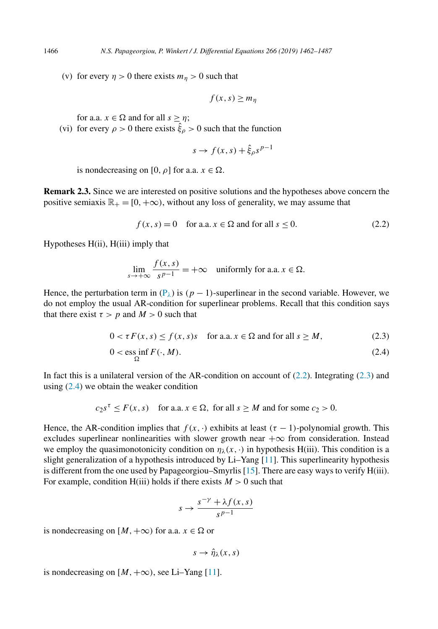(v) for every  $\eta > 0$  there exists  $m_n > 0$  such that

$$
f(x,s) \ge m_\eta
$$

for a.a.  $x \in \Omega$  and for all  $s \geq \eta$ ;

(vi) for every  $\rho > 0$  there exists  $\hat{\xi}_{\rho} > 0$  such that the function

$$
s \to f(x, s) + \hat{\xi}_{\rho} s^{p-1}
$$

is nondecreasing on [0,  $\rho$ ] for a.a.  $x \in \Omega$ .

**Remark 2.3.** Since we are interested on positive solutions and the hypotheses above concern the positive semiaxis  $\mathbb{R}_+ = [0, +\infty)$ , without any loss of generality, we may assume that

$$
f(x, s) = 0 \quad \text{for a.a. } x \in \Omega \text{ and for all } s \le 0. \tag{2.2}
$$

Hypotheses H(ii), H(iii) imply that

$$
\lim_{s \to +\infty} \frac{f(x, s)}{s^{p-1}} = +\infty \quad \text{uniformly for a.a. } x \in \Omega.
$$

Hence, the perturbation term in  $(P_{\lambda})$  $(P_{\lambda})$  is  $(p-1)$ -superlinear in the second variable. However, we do not employ the usual AR-condition for superlinear problems. Recall that this condition says that there exist  $\tau > p$  and  $M > 0$  such that

$$
0 < \tau F(x, s) \le f(x, s)s \quad \text{for a.a. } x \in \Omega \text{ and for all } s \ge M,\tag{2.3}
$$

$$
0 < \operatorname{ess\ inf}_{\Omega} F(\cdot, M). \tag{2.4}
$$

In fact this is a unilateral version of the AR-condition on account of  $(2.2)$ . Integrating  $(2.3)$  and using (2.4) we obtain the weaker condition

$$
c_2s^{\tau} \le F(x, s)
$$
 for a.a.  $x \in \Omega$ , for all  $s \ge M$  and for some  $c_2 > 0$ .

Hence, the AR-condition implies that  $f(x, \cdot)$  exhibits at least  $(\tau - 1)$ -polynomial growth. This excludes superlinear nonlinearities with slower growth near  $+\infty$  from consideration. Instead we employ the quasimonotonicity condition on  $\eta_{\lambda}(x, \cdot)$  in hypothesis H(iii). This condition is a slight generalization of a hypothesis introduced by Li–Yang [\[11\]](#page-25-0). This superlinearity hypothesis is different from the one used by Papageorgiou–Smyrlis [\[15\]](#page-25-0). There are easy ways to verify H(iii). For example, condition  $H(iii)$  holds if there exists  $M > 0$  such that

$$
s \to \frac{s^{-\gamma} + \lambda f(x, s)}{s^{p-1}}
$$

is nondecreasing on  $[M, +\infty)$  for a.a.  $x \in \Omega$  or

$$
s\to\hat{\eta}_{\lambda}(x,s)
$$

is nondecreasing on  $[M, +\infty)$ , see Li–Yang [\[11\]](#page-25-0).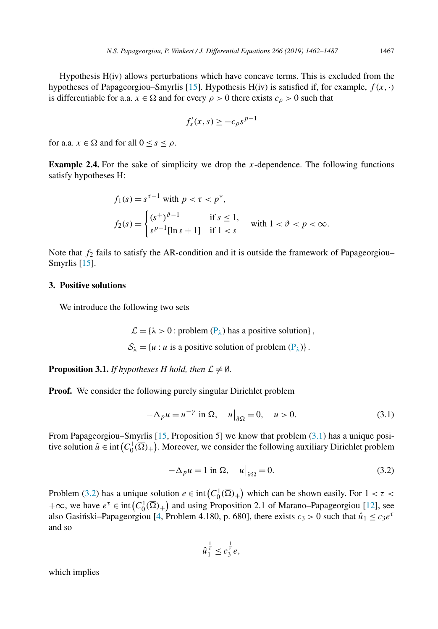<span id="page-5-0"></span>Hypothesis H(iv) allows perturbations which have concave terms. This is excluded from the hypotheses of Papageorgiou–Smyrlis [\[15\]](#page-25-0). Hypothesis H(iv) is satisfied if, for example,  $f(x, \cdot)$ is differentiable for a.a.  $x \in \Omega$  and for every  $\rho > 0$  there exists  $c_{\rho} > 0$  such that

$$
f'_{s}(x,s) \ge -c_{\rho}s^{p-1}
$$

for a.a.  $x \in \Omega$  and for all  $0 \le s \le \rho$ .

**Example 2.4.** For the sake of simplicity we drop the *x*-dependence. The following functions satisfy hypotheses H:

$$
f_1(s) = s^{\tau - 1} \text{ with } p < \tau < p^*,
$$
\n
$$
f_2(s) = \begin{cases} (s^+)^{\vartheta - 1} & \text{if } s \le 1, \\ s^{p-1}[\ln s + 1] & \text{if } 1 < s \end{cases} \text{ with } 1 < \vartheta < p < \infty.
$$

Note that  $f_2$  fails to satisfy the AR-condition and it is outside the framework of Papageorgiou– Smyrlis [\[15\]](#page-25-0).

#### **3. Positive solutions**

We introduce the following two sets

 $\mathcal{L} = \{\lambda > 0 : \text{problem } (P_{\lambda}) \text{ has a positive solution}\}\,$  $\mathcal{L} = \{\lambda > 0 : \text{problem } (P_{\lambda}) \text{ has a positive solution}\}\,$  $\mathcal{L} = \{\lambda > 0 : \text{problem } (P_{\lambda}) \text{ has a positive solution}\}\,$ 

 $S_{\lambda} = \{u : u \text{ is a positive solution of problem } (\mathbf{P}_{\lambda})\}.$ 

**Proposition 3.1.** *If hypotheses H hold, then*  $\mathcal{L} \neq \emptyset$ *.* 

**Proof.** We consider the following purely singular Dirichlet problem

$$
-\Delta_p u = u^{-\gamma} \text{ in } \Omega, \quad u\big|_{\partial\Omega} = 0, \quad u > 0. \tag{3.1}
$$

From Papageorgiou–Smyrlis [\[15,](#page-25-0) Proposition 5] we know that problem  $(3.1)$  has a unique positive solution  $\tilde{u} \in \text{int}(C_0^1(\overline{\Omega})_+)$ . Moreover, we consider the following auxiliary Dirichlet problem

$$
-\Delta_p u = 1 \text{ in } \Omega, \quad u\big|_{\partial\Omega} = 0. \tag{3.2}
$$

Problem (3.2) has a unique solution  $e \in \text{int}(C_0^1(\overline{\Omega})_+)$  which can be shown easily. For  $1 < \tau <$  $+\infty$ , we have  $e^{\tau} \in \text{int}(C_0^1(\overline{\Omega})_+)$  and using Proposition 2.1 of Marano–Papageorgiou [\[12\]](#page-25-0), see also Gasinski–Papageorgiou [\[4,](#page-25-0) Problem 4.180, p. 680], there exists  $c_3 > 0$  such that  $\hat{u}_1 \le c_3 e^{\tau}$ and so

$$
\hat{u}_1^{\frac{1}{\tau}} \leq c_3^{\frac{1}{\tau}}e,
$$

which implies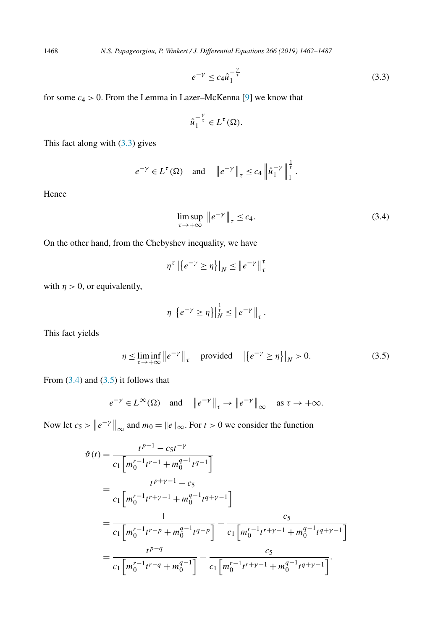1468 *N.S. Papageorgiou, P. Winkert / J. Differential Equations 266 (2019) 1462–1487*

$$
e^{-\gamma} \le c_4 \hat{u}_1^{-\frac{\gamma}{\tau}} \tag{3.3}
$$

1

for some  $c_4 > 0$ . From the Lemma in Lazer–McKenna [\[9\]](#page-25-0) we know that

$$
\hat{u}_1^{-\frac{\gamma}{\tau}} \in L^{\tau}(\Omega).
$$

This fact along with (3.3) gives

$$
e^{-\gamma} \in L^{\tau}(\Omega) \quad \text{and} \quad \left\| e^{-\gamma} \right\|_{\tau} \le c_4 \left\| \hat{u}_1^{-\gamma} \right\|_1^{\frac{1}{\tau}}
$$

Hence

$$
\limsup_{\tau \to +\infty} \|e^{-\gamma}\|_{\tau} \le c_4. \tag{3.4}
$$

On the other hand, from the Chebyshev inequality, we have

$$
\eta^{\tau} \left| \left\{ e^{-\gamma} \ge \eta \right\} \right|_{N} \le \left\| e^{-\gamma} \right\|_{\tau}^{\tau}
$$

with  $\eta > 0$ , or equivalently,

$$
\eta \left| \left\{ e^{-\gamma} \geq \eta \right\} \right|_{N}^{\frac{1}{\tau}} \leq \left\| e^{-\gamma} \right\|_{\tau}.
$$

This fact yields

$$
\eta \le \liminf_{\tau \to +\infty} \left\| e^{-\gamma} \right\|_{\tau} \quad \text{provided} \quad \left| \left\{ e^{-\gamma} \ge \eta \right\} \right|_{N} > 0. \tag{3.5}
$$

From  $(3.4)$  and  $(3.5)$  it follows that

$$
e^{-\gamma} \in L^{\infty}(\Omega)
$$
 and  $\left\|e^{-\gamma}\right\|_{\tau} \to \left\|e^{-\gamma}\right\|_{\infty}$  as  $\tau \to +\infty$ .

Now let  $c_5 > ||e^{-\gamma}||_{\infty}$  and  $m_0 = ||e||_{\infty}$ . For  $t > 0$  we consider the function

$$
\vartheta(t) = \frac{t^{p-1} - c_5 t^{-\gamma}}{c_1 \left[ m_0^{r-1} t^{r-1} + m_0^{q-1} t^{q-1} \right]}
$$
  
= 
$$
\frac{t^{p+\gamma-1} - c_5}{c_1 \left[ m_0^{r-1} t^{r+\gamma-1} + m_0^{q-1} t^{q+\gamma-1} \right]}
$$
  
= 
$$
\frac{1}{c_1 \left[ m_0^{r-1} t^{r-p} + m_0^{q-1} t^{q-p} \right]} - \frac{c_5}{c_1 \left[ m_0^{r-1} t^{r+\gamma-1} + m_0^{q-1} t^{q+\gamma-1} \right]}
$$
  
= 
$$
\frac{t^{p-q}}{c_1 \left[ m_0^{r-1} t^{r-q} + m_0^{q-1} \right]} - \frac{c_5}{c_1 \left[ m_0^{r-1} t^{r+\gamma-1} + m_0^{q-1} t^{q+\gamma-1} \right]}.
$$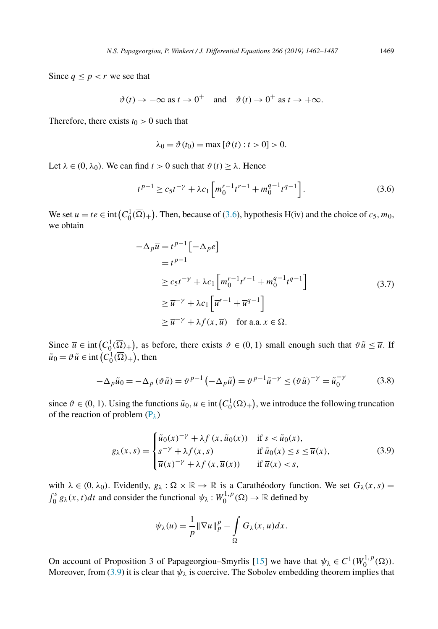<span id="page-7-0"></span>Since  $q \leq p < r$  we see that

$$
\vartheta(t) \to -\infty \text{ as } t \to 0^+
$$
 and  $\vartheta(t) \to 0^+$  as  $t \to +\infty$ .

Therefore, there exists  $t_0 > 0$  such that

$$
\lambda_0 = \vartheta(t_0) = \max [\vartheta(t) : t > 0] > 0.
$$

Let  $\lambda \in (0, \lambda_0)$ . We can find  $t > 0$  such that  $\vartheta(t) \geq \lambda$ . Hence

$$
t^{p-1} \ge c_5 t^{-\gamma} + \lambda c_1 \left[ m_0^{r-1} t^{r-1} + m_0^{q-1} t^{q-1} \right].
$$
 (3.6)

We set  $\overline{u} = te \in \text{int}(C_0^1(\overline{\Omega})_+)$ . Then, because of (3.6), hypothesis H(iv) and the choice of *c*<sub>5</sub>*, m*<sub>0</sub>*,* we obtain

$$
-\Delta_p \overline{u} = t^{p-1} \left[ -\Delta_p e \right]
$$
  
\n
$$
= t^{p-1}
$$
  
\n
$$
\ge c_5 t^{-\gamma} + \lambda c_1 \left[ m_0^{r-1} t^{r-1} + m_0^{q-1} t^{q-1} \right]
$$
  
\n
$$
\ge \overline{u}^{-\gamma} + \lambda c_1 \left[ \overline{u}^{r-1} + \overline{u}^{q-1} \right]
$$
  
\n
$$
\ge \overline{u}^{-\gamma} + \lambda f(x, \overline{u}) \quad \text{for a.a. } x \in \Omega.
$$
 (3.7)

Since  $\overline{u} \in \text{int}(C_0^1(\overline{\Omega})_+)$ , as before, there exists  $\vartheta \in (0, 1)$  small enough such that  $\vartheta \tilde{u} \leq \overline{u}$ . If  $\tilde{u}_0 = \vartheta \tilde{u} \in \text{int}\left(C_0^1(\overline{\Omega})_+\right)$ , then

$$
-\Delta_p \tilde{u}_0 = -\Delta_p (\vartheta \tilde{u}) = \vartheta^{p-1} \left( -\Delta_p \tilde{u} \right) = \vartheta^{p-1} \tilde{u}^{-\gamma} \le (\vartheta \tilde{u})^{-\gamma} = \tilde{u}_0^{-\gamma}
$$
(3.8)

since  $\vartheta \in (0, 1)$ . Using the functions  $\tilde{u}_0, \overline{u} \in \text{int}\left(C_0^1(\overline{\Omega})_+\right)$ , we introduce the following truncation of the reaction of problem [\(P](#page-1-0)*λ*)

$$
g_{\lambda}(x,s) = \begin{cases} \tilde{u}_0(x)^{-\gamma} + \lambda f(x,\tilde{u}_0(x)) & \text{if } s < \tilde{u}_0(x), \\ s^{-\gamma} + \lambda f(x,s) & \text{if } \tilde{u}_0(x) \le s \le \overline{u}(x), \\ \overline{u}(x)^{-\gamma} + \lambda f(x,\overline{u}(x)) & \text{if } \overline{u}(x) < s, \end{cases} \tag{3.9}
$$

with  $\lambda \in (0, \lambda_0)$ . Evidently,  $g_\lambda : \Omega \times \mathbb{R} \to \mathbb{R}$  is a Carathéodory function. We set  $G_\lambda(x, s) =$  $\int_0^s g_\lambda(x,t)dt$  and consider the functional  $\psi_\lambda: W_0^{1,p}(\Omega) \to \mathbb{R}$  defined by

$$
\psi_{\lambda}(u) = \frac{1}{p} \|\nabla u\|_p^p - \int_{\Omega} G_{\lambda}(x, u) dx.
$$

On account of Proposition 3 of Papageorgiou–Smyrlis [\[15\]](#page-25-0) we have that  $\psi_{\lambda} \in C^1(W_0^{1,p}(\Omega))$ . Moreover, from (3.9) it is clear that  $\psi_{\lambda}$  is coercive. The Sobolev embedding theorem implies that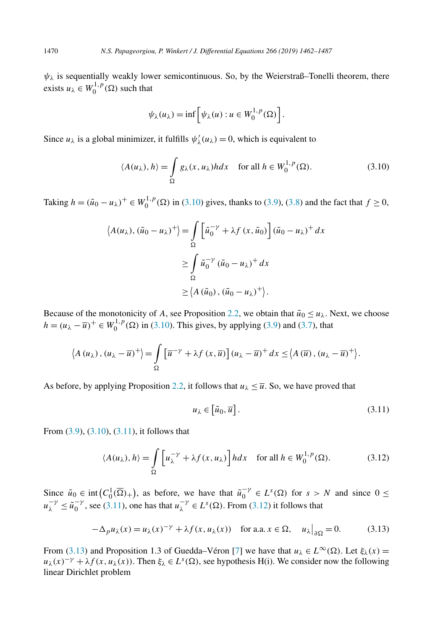<span id="page-8-0"></span> $\psi_{\lambda}$  is sequentially weakly lower semicontinuous. So, by the Weierstraß–Tonelli theorem, there exists  $u_{\lambda} \in W_0^{1,p}(\Omega)$  such that

$$
\psi_{\lambda}(u_{\lambda}) = \inf \left[ \psi_{\lambda}(u) : u \in W_0^{1,p}(\Omega) \right].
$$

Since  $u_{\lambda}$  is a global minimizer, it fulfills  $\psi_{\lambda}'(u_{\lambda}) = 0$ , which is equivalent to

$$
\langle A(u_{\lambda}), h \rangle = \int_{\Omega} g_{\lambda}(x, u_{\lambda}) h dx \quad \text{for all } h \in W_0^{1, p}(\Omega). \tag{3.10}
$$

Taking  $h = (\tilde{u}_0 - u_\lambda)^+ \in W_0^{1,p}(\Omega)$  in (3.10) gives, thanks to [\(3.9\)](#page-7-0), [\(3.8\)](#page-7-0) and the fact that  $f \ge 0$ ,

$$
\langle A(u_{\lambda}), (\tilde{u}_0 - u_{\lambda})^+ \rangle = \int_{\Omega} \left[ \tilde{u}_0^{-\gamma} + \lambda f(x, \tilde{u}_0) \right] (\tilde{u}_0 - u_{\lambda})^+ dx
$$
  

$$
\geq \int_{\Omega} \tilde{u}_0^{-\gamma} (\tilde{u}_0 - u_{\lambda})^+ dx
$$
  

$$
\geq \langle A(\tilde{u}_0), (\tilde{u}_0 - u_{\lambda})^+ \rangle.
$$

Because of the monotonicity of *A*, see Proposition [2.2,](#page-3-0) we obtain that  $\tilde{u}_0 \le u_\lambda$ . Next, we choose  $h = (u_{\lambda} - \overline{u})^+ \in W_0^{1,p}(\Omega)$  in (3.10). This gives, by applying [\(3.9\)](#page-7-0) and [\(3.7\)](#page-7-0), that

$$
\left\langle A\left(u_{\lambda}\right),\left(u_{\lambda}-\overline{u}\right)^{+}\right\rangle =\int\limits_{\Omega}\left[\overline{u}^{-\gamma}+\lambda f\left(x,\overline{u}\right)\right]\left(u_{\lambda}-\overline{u}\right)^{+}dx\leq\left\langle A\left(\overline{u}\right),\left(u_{\lambda}-\overline{u}\right)^{+}\right\rangle.
$$

As before, by applying Proposition [2.2,](#page-3-0) it follows that  $u_{\lambda} \leq \overline{u}$ . So, we have proved that

$$
u_{\lambda} \in \left[ \tilde{u}_0, \overline{u} \right]. \tag{3.11}
$$

From [\(3.9\)](#page-7-0), (3.10), (3.11), it follows that

$$
\langle A(u_{\lambda}), h \rangle = \int_{\Omega} \left[ u_{\lambda}^{-\gamma} + \lambda f(x, u_{\lambda}) \right] h dx \quad \text{for all } h \in W_0^{1, p}(\Omega). \tag{3.12}
$$

Since  $\tilde{u}_0 \in \text{int}(C_0^1(\overline{\Omega})_+)$ , as before, we have that  $\tilde{u}_0^{-\gamma} \in L^s(\Omega)$  for  $s > N$  and since  $0 \le$  $u_{\lambda}^{-\gamma} \le \tilde{u}_0^{-\gamma}$ , see (3.11), one has that  $u_{\lambda}^{-\gamma} \in L^s(\Omega)$ . From (3.12) it follows that

$$
-\Delta_p u_\lambda(x) = u_\lambda(x)^{-\gamma} + \lambda f(x, u_\lambda(x)) \quad \text{for a.a. } x \in \Omega, \quad u_\lambda|_{\partial \Omega} = 0. \tag{3.13}
$$

From (3.13) and Proposition 1.3 of Guedda–Véron [\[7\]](#page-25-0) we have that  $u_\lambda \in L^\infty(\Omega)$ . Let  $\xi_\lambda(x) =$  $u_\lambda(x)^{-\gamma} + \lambda f(x, u_\lambda(x))$ . Then  $\xi_\lambda \in L^s(\Omega)$ , see hypothesis H(i). We consider now the following linear Dirichlet problem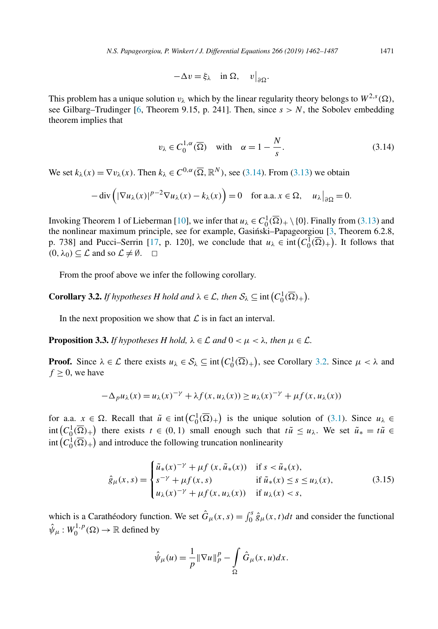$$
-\Delta v = \xi_{\lambda} \quad \text{in } \Omega, \quad v\big|_{\partial\Omega}.
$$

<span id="page-9-0"></span>This problem has a unique solution  $v_\lambda$  which by the linear regularity theory belongs to  $W^{2,s}(\Omega)$ , see Gilbarg–Trudinger [\[6,](#page-25-0) Theorem 9.15, p. 241]. Then, since  $s > N$ , the Sobolev embedding theorem implies that

$$
v_{\lambda} \in C_0^{1,\alpha}(\overline{\Omega}) \quad \text{with} \quad \alpha = 1 - \frac{N}{s}.\tag{3.14}
$$

We set  $k_\lambda(x) = \nabla v_\lambda(x)$ . Then  $k_\lambda \in C^{0,\alpha}(\overline{\Omega}, \mathbb{R}^N)$ , see (3.14). From [\(3.13\)](#page-8-0) we obtain

$$
-\operatorname{div}\left(|\nabla u_\lambda(x)|^{p-2}\nabla u_\lambda(x) - k_\lambda(x)\right) = 0 \quad \text{for a.a. } x \in \Omega, \quad u_\lambda\big|_{\partial\Omega} = 0.
$$

Invoking Theorem 1 of Lieberman [\[10\]](#page-25-0), we infer that  $u_\lambda \in C_0^1(\overline{\Omega})_+ \setminus \{0\}$ . Finally from [\(3.13\)](#page-8-0) and the nonlinear maximum principle, see for example, Gasiński–Papageorgiou [\[3,](#page-25-0) Theorem 6.2.8, p. 738] and Pucci–Serrin [\[17,](#page-25-0) p. 120], we conclude that  $u_{\lambda} \in \text{int}(C_0^1(\overline{\Omega})_+)$ . It follows that  $(0, \lambda_0) \subseteq \mathcal{L}$  and so  $\mathcal{L} \neq \emptyset$ .  $\Box$ 

From the proof above we infer the following corollary.

**Corollary 3.2.** *If hypotheses H hold and*  $\lambda \in \mathcal{L}$ , *then*  $S_{\lambda} \subseteq \text{int}(C_0^1(\overline{\Omega})_+)$ .

In the next proposition we show that  $\mathcal L$  is in fact an interval.

**Proposition 3.3.** *If hypotheses H hold,*  $\lambda \in \mathcal{L}$  *and*  $0 < \mu < \lambda$ *, then*  $\mu \in \mathcal{L}$ *.* 

**Proof.** Since  $\lambda \in \mathcal{L}$  there exists  $u_{\lambda} \in \mathcal{S}_{\lambda} \subseteq \text{int}(C_0^1(\overline{\Omega})_+)$ , see Corollary 3.2. Since  $\mu < \lambda$  and  $f \geq 0$ , we have

$$
-\Delta_p u_\lambda(x) = u_\lambda(x)^{-\gamma} + \lambda f(x, u_\lambda(x)) \ge u_\lambda(x)^{-\gamma} + \mu f(x, u_\lambda(x))
$$

for a.a.  $x \in \Omega$ . Recall that  $\tilde{u} \in \text{int}(C_0^1(\overline{\Omega})_+)$  is the unique solution of [\(3.1\)](#page-5-0). Since  $u_\lambda \in$  $\int \int_0^1 (C_0^1(\overline{\Omega})_+)$  there exists  $t \in (0,1)$  small enough such that  $t\tilde{u} \le u_\lambda$ . We set  $\tilde{u}_* = t\tilde{u} \in$  $int (C_0^1(\overline{\Omega})_+)$  and introduce the following truncation nonlinearity

$$
\hat{g}_{\mu}(x,s) = \begin{cases} \tilde{u}_{*}(x)^{-\gamma} + \mu f(x, \tilde{u}_{*}(x)) & \text{if } s < \tilde{u}_{*}(x), \\ s^{-\gamma} + \mu f(x,s) & \text{if } \tilde{u}_{*}(x) \le s \le u_{\lambda}(x), \\ u_{\lambda}(x)^{-\gamma} + \mu f(x, u_{\lambda}(x)) & \text{if } u_{\lambda}(x) < s, \end{cases}
$$
(3.15)

which is a Carathéodory function. We set  $\hat{G}_{\mu}(x, s) = \int_0^s \hat{g}_{\mu}(x, t)dt$  and consider the functional  $\hat{\psi}_\mu : W_0^{1,p}(\Omega) \to \mathbb{R}$  defined by

$$
\hat{\psi}_{\mu}(u) = \frac{1}{p} \|\nabla u\|_p^p - \int_{\Omega} \hat{G}_{\mu}(x, u) dx.
$$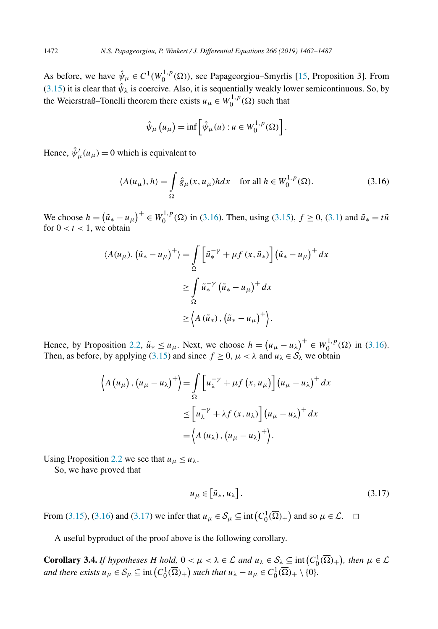<span id="page-10-0"></span>As before, we have  $\hat{\psi}_{\mu} \in C^1(W_0^{1,p}(\Omega))$ , see Papageorgiou–Smyrlis [\[15,](#page-25-0) Proposition 3]. From [\(3.15\)](#page-9-0) it is clear that  $\hat{\psi}_{\lambda}$  is coercive. Also, it is sequentially weakly lower semicontinuous. So, by the Weierstraß–Tonelli theorem there exists  $u_{\mu} \in W_0^{1,p}(\Omega)$  such that

$$
\hat{\psi}_{\mu}\left(u_{\mu}\right) = \inf \left[\hat{\psi}_{\mu}(u) : u \in W_0^{1,p}(\Omega)\right].
$$

Hence,  $\hat{\psi}'_{\mu}(u_{\mu}) = 0$  which is equivalent to

$$
\langle A(u_{\mu}), h \rangle = \int_{\Omega} \hat{g}_{\mu}(x, u_{\mu}) h dx \quad \text{for all } h \in W_0^{1, p}(\Omega). \tag{3.16}
$$

We choose *h* =  $(\tilde{u}_∗ − u_μ)^+ ∈ W_0^{1,p}(Ω)$  in (3.16). Then, using [\(3.15\)](#page-9-0), *f* ≥ 0, [\(3.1\)](#page-5-0) and  $\tilde{u}_∗ = t\tilde{u}$ for  $0 < t < 1$ , we obtain

$$
\langle A(u_{\mu}), (\tilde{u}_{*} - u_{\mu})^{+} \rangle = \int_{\Omega} \left[ \tilde{u}_{*}^{-\gamma} + \mu f(x, \tilde{u}_{*}) \right] (\tilde{u}_{*} - u_{\mu})^{+} dx
$$
  

$$
\geq \int_{\Omega} \tilde{u}_{*}^{-\gamma} (\tilde{u}_{*} - u_{\mu})^{+} dx
$$
  

$$
\geq \left\langle A(\tilde{u}_{*}), (\tilde{u}_{*} - u_{\mu})^{+} \right\rangle.
$$

Hence, by Proposition [2.2,](#page-3-0)  $\tilde{u}_* \leq u_\mu$ . Next, we choose  $h = (u_\mu - u_\lambda)^+ \in W_0^{1,p}(\Omega)$  in (3.16). Then, as before, by applying [\(3.15\)](#page-9-0) and since  $f \ge 0$ ,  $\mu < \lambda$  and  $u_{\lambda} \in S_{\lambda}$  we obtain

$$
\left\langle A\left(u_{\mu}\right),\left(u_{\mu}-u_{\lambda}\right)^{+}\right\rangle = \int_{\Omega}\left[u_{\lambda}^{-\gamma}+\mu f\left(x,u_{\mu}\right)\right]\left(u_{\mu}-u_{\lambda}\right)^{+}dx
$$

$$
\leq \left[u_{\lambda}^{-\gamma}+\lambda f\left(x,u_{\lambda}\right)\right]\left(u_{\mu}-u_{\lambda}\right)^{+}dx
$$

$$
=\left\langle A\left(u_{\lambda}\right),\left(u_{\mu}-u_{\lambda}\right)^{+}\right\rangle.
$$

Using Proposition [2.2](#page-3-0) we see that  $u_{\mu} \le u_{\lambda}$ .

So, we have proved that

$$
u_{\mu} \in \left[ \tilde{u}_*, u_{\lambda} \right]. \tag{3.17}
$$

From [\(3.15\)](#page-9-0), (3.16) and (3.17) we infer that  $u_{\mu} \in S_{\mu} \subseteq \text{int}(C_0^1(\overline{\Omega})_+)$  and so  $\mu \in \mathcal{L}$ .  $\square$ 

A useful byproduct of the proof above is the following corollary.

**Corollary 3.4.** *If hypotheses H hold*,  $0 < \mu < \lambda \in \mathcal{L}$  *and*  $u_{\lambda} \in S_{\lambda} \subseteq \text{int}(C_0^1(\overline{\Omega})_+)$ , *then*  $\mu \in \mathcal{L}$ *and there exists*  $u_{\mu} \in S_{\mu} \subseteq \text{int}\left(C_0^1(\overline{\Omega})_+\right)$  *such that*  $u_{\lambda} - u_{\mu} \in C_0^1(\overline{\Omega})_+ \setminus \{0\}.$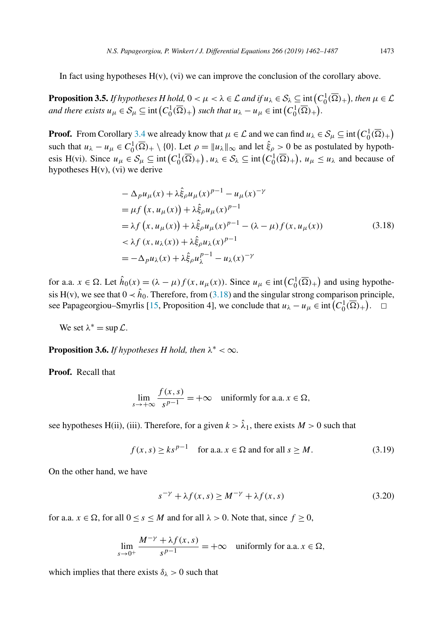<span id="page-11-0"></span>In fact using hypotheses  $H(v)$ , (vi) we can improve the conclusion of the corollary above.

**Proposition 3.5.** *If hypotheses H hold*,  $0 < \mu < \lambda \in \mathcal{L}$  *and if*  $u_{\lambda} \in \mathcal{S}_{\lambda} \subseteq \text{int}\left(C_0^1(\overline{\Omega})_+\right)$ , then  $\mu \in \mathcal{L}$ *and there exists*  $u_{\mu} \in S_{\mu} \subseteq \text{int}\left(C_0^1(\overline{\Omega})_+\right)$  *such that*  $u_{\lambda} - u_{\mu} \in \text{int}\left(C_0^1(\overline{\Omega})_+\right)$ .

**Proof.** From Corollary [3.4](#page-10-0) we already know that  $\mu \in \mathcal{L}$  and we can find  $u_{\lambda} \in \mathcal{S}_{\mu} \subseteq \text{int}\left(C_0^1(\overline{\Omega})_+\right)$ such that  $u_{\lambda} - u_{\mu} \in C_0^1(\overline{\Omega})_+ \setminus \{0\}$ . Let  $\rho = ||u_{\lambda}||_{\infty}$  and let  $\hat{\xi}_{\rho} > 0$  be as postulated by hypothesis H(vi). Since  $u_{\mu} \in S_{\mu} \subseteq \text{int}(C_0^1(\overline{\Omega})_+)$ ,  $u_{\lambda} \in S_{\lambda} \subseteq \text{int}(C_0^1(\overline{\Omega})_+)$ ,  $u_{\mu} \le u_{\lambda}$  and because of hypotheses  $H(v)$ , (vi) we derive

$$
-\Delta_{p}u_{\mu}(x) + \lambda \hat{\xi}_{\rho}u_{\mu}(x)^{p-1} - u_{\mu}(x)^{-\gamma}
$$
  
\n
$$
= \mu f(x, u_{\mu}(x)) + \lambda \hat{\xi}_{\rho}u_{\mu}(x)^{p-1}
$$
  
\n
$$
= \lambda f(x, u_{\mu}(x)) + \lambda \hat{\xi}_{\rho}u_{\mu}(x)^{p-1} - (\lambda - \mu)f(x, u_{\mu}(x))
$$
  
\n
$$
< \lambda f(x, u_{\lambda}(x)) + \lambda \hat{\xi}_{\rho}u_{\lambda}(x)^{p-1}
$$
  
\n
$$
= -\Delta_{p}u_{\lambda}(x) + \lambda \hat{\xi}_{\rho}u_{\lambda}^{p-1} - u_{\lambda}(x)^{-\gamma}
$$
\n(3.18)

for a.a.  $x \in \Omega$ . Let  $\hat{h}_0(x) = (\lambda - \mu)f(x, u_\mu(x))$ . Since  $u_\mu \in \text{int}\left(C_0^1(\overline{\Omega})_+\right)$  and using hypothesis H(v), we see that  $0 \lt \hat{h}_0$ . Therefore, from (3.18) and the singular strong comparison principle, see Papageorgiou–Smyrlis [\[15,](#page-25-0) Proposition 4], we conclude that  $u_{\lambda} - u_{\mu} \in \text{int} (C_0^1(\overline{\Omega})_+)$ .  $\square$ 

We set  $\lambda^* = \sup \mathcal{L}$ .

**Proposition 3.6.** *If hypotheses H hold, then*  $\lambda^* < \infty$ *.* 

**Proof.** Recall that

$$
\lim_{s \to +\infty} \frac{f(x, s)}{s^{p-1}} = +\infty \quad \text{uniformly for a.a. } x \in \Omega,
$$

see hypotheses H(ii), (iii). Therefore, for a given  $k > \hat{\lambda}_1$ , there exists  $M > 0$  such that

$$
f(x, s) \ge ks^{p-1} \quad \text{for a.a. } x \in \Omega \text{ and for all } s \ge M. \tag{3.19}
$$

On the other hand, we have

$$
s^{-\gamma} + \lambda f(x, s) \ge M^{-\gamma} + \lambda f(x, s) \tag{3.20}
$$

for a.a.  $x \in \Omega$ , for all  $0 \le s \le M$  and for all  $\lambda > 0$ . Note that, since  $f \ge 0$ ,

$$
\lim_{s \to 0^+} \frac{M^{-\gamma} + \lambda f(x, s)}{s^{p-1}} = +\infty \quad \text{uniformly for a.a. } x \in \Omega,
$$

which implies that there exists  $\delta_{\lambda} > 0$  such that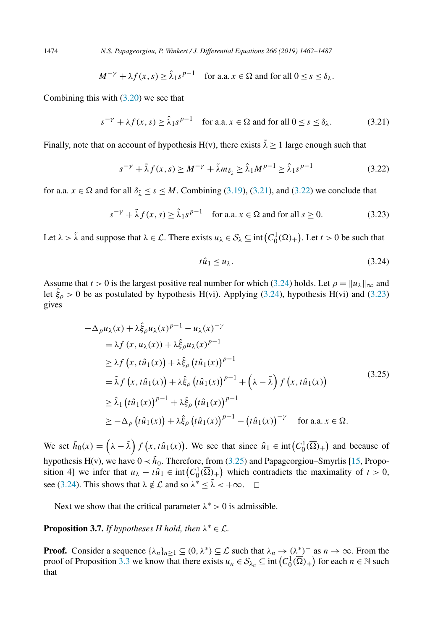$$
M^{-\gamma} + \lambda f(x, s) \ge \hat{\lambda}_1 s^{p-1} \quad \text{for a.a. } x \in \Omega \text{ and for all } 0 \le s \le \delta_{\lambda}.
$$

Combining this with  $(3.20)$  we see that

$$
s^{-\gamma} + \lambda f(x, s) \ge \hat{\lambda}_1 s^{p-1} \quad \text{for a.a. } x \in \Omega \text{ and for all } 0 \le s \le \delta_\lambda. \tag{3.21}
$$

Finally, note that on account of hypothesis H(v), there exists  $\tilde{\lambda} \ge 1$  large enough such that

$$
s^{-\gamma} + \tilde{\lambda} f(x, s) \ge M^{-\gamma} + \tilde{\lambda} m_{\delta_{\tilde{\lambda}}} \ge \hat{\lambda}_1 M^{p-1} \ge \hat{\lambda}_1 s^{p-1}
$$
 (3.22)

for a.a.  $x \in \Omega$  and for all  $\delta_{\tilde{\lambda}} \le s \le M$ . Combining [\(3.19\)](#page-11-0), (3.21), and (3.22) we conclude that

$$
s^{-\gamma} + \tilde{\lambda} f(x, s) \ge \hat{\lambda}_1 s^{p-1} \quad \text{for a.a. } x \in \Omega \text{ and for all } s \ge 0.
$$
 (3.23)

Let  $\lambda > \tilde{\lambda}$  and suppose that  $\lambda \in \mathcal{L}$ . There exists  $u_{\lambda} \in \mathcal{S}_{\lambda} \subseteq \text{int}(C_0^1(\overline{\Omega})_+)$ . Let  $t > 0$  be such that

$$
t\hat{u}_1 \le u_\lambda. \tag{3.24}
$$

Assume that  $t > 0$  is the largest positive real number for which (3.24) holds. Let  $\rho = ||u_\lambda||_\infty$  and let  $\hat{\xi}_{\rho} > 0$  be as postulated by hypothesis H(vi). Applying (3.24), hypothesis H(vi) and (3.23) gives

$$
-\Delta_{p}u_{\lambda}(x) + \lambda \hat{\xi}_{\rho}u_{\lambda}(x)^{p-1} - u_{\lambda}(x)^{-\gamma}
$$
  
\n
$$
= \lambda f(x, u_{\lambda}(x)) + \lambda \hat{\xi}_{\rho}u_{\lambda}(x)^{p-1}
$$
  
\n
$$
\geq \lambda f(x, t\hat{u}_{1}(x)) + \lambda \hat{\xi}_{\rho} (t\hat{u}_{1}(x))^{p-1}
$$
  
\n
$$
= \tilde{\lambda} f(x, t\hat{u}_{1}(x)) + \lambda \hat{\xi}_{\rho} (t\hat{u}_{1}(x))^{p-1} + (\lambda - \tilde{\lambda}) f(x, t\hat{u}_{1}(x))
$$
  
\n
$$
\geq \hat{\lambda}_{1} (t\hat{u}_{1}(x))^{p-1} + \lambda \hat{\xi}_{\rho} (t\hat{u}_{1}(x))^{p-1}
$$
  
\n
$$
\geq -\Delta_{p} (t\hat{u}_{1}(x)) + \lambda \hat{\xi}_{\rho} (t\hat{u}_{1}(x))^{p-1} - (t\hat{u}_{1}(x))^{-\gamma} \text{ for a.a. } x \in \Omega.
$$
 (3.25)

We set  $\tilde{h}_0(x) = (\lambda - \tilde{\lambda}) f(x, t\hat{u}_1(x))$ . We see that since  $\hat{u}_1 \in \text{int}(C_0^1(\overline{\Omega})_+)$  and because of hypothesis H(v), we have  $0 \lt \tilde{h}_0$ . Therefore, from (3.25) and Papageorgiou–Smyrlis [\[15,](#page-25-0) Proposition 4] we infer that  $u_{\lambda} - t\hat{u}_1 \in \text{int}\left(C_0^1(\overline{\Omega})_+\right)$  which contradicts the maximality of  $t > 0$ , see (3.24). This shows that  $\lambda \notin \mathcal{L}$  and so  $\lambda^* \leq \tilde{\lambda} < +\infty$ .  $\Box$ 

Next we show that the critical parameter  $\lambda^* > 0$  is admissible.

# **Proposition 3.7.** *If hypotheses H hold, then*  $\lambda^* \in \mathcal{L}$ *.*

**Proof.** Consider a sequence  $\{\lambda_n\}_{n\geq 1} \subseteq (0, \lambda^*) \subseteq \mathcal{L}$  such that  $\lambda_n \to (\lambda^*)^-$  as  $n \to \infty$ . From the proof of Proposition [3.3](#page-9-0) we know that there exists  $u_n \in S_{\lambda_n} \subseteq \text{int}\left(C_0^1(\overline{\Omega})_+\right)$  for each  $n \in \mathbb{N}$  such that

<span id="page-12-0"></span>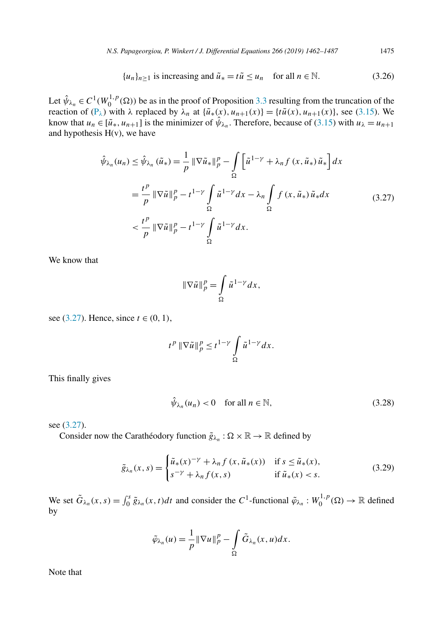$$
\{u_n\}_{n\geq 1} \text{ is increasing and } \tilde{u}_* = t\tilde{u} \leq u_n \quad \text{for all } n \in \mathbb{N}. \tag{3.26}
$$

<span id="page-13-0"></span>Let  $\hat{\psi}_{\lambda_n} \in C^1(W_0^{1,p}(\Omega))$  be as in the proof of Proposition [3.3](#page-9-0) resulting from the truncation of the reaction of  $(P_\lambda)$  $(P_\lambda)$  with  $\lambda$  replaced by  $\lambda_n$  at  $\{\tilde{u}_*(x), u_{n+1}(x)\} = \{t\tilde{u}(x), u_{n+1}(x)\}\)$ , see [\(3.15\)](#page-9-0). We know that  $u_n \in [\tilde{u}_*, u_{n+1}]$  is the minimizer of  $\hat{\psi}_{\lambda_n}$ . Therefore, because of [\(3.15\)](#page-9-0) with  $u_{\lambda} = u_{n+1}$ and hypothesis  $H(v)$ , we have

$$
\hat{\psi}_{\lambda_n}(u_n) \leq \hat{\psi}_{\lambda_n}(\tilde{u}_*) = \frac{1}{p} \|\nabla \tilde{u}_*\|_p^p - \int_{\Omega} \left[\tilde{u}^{1-\gamma} + \lambda_n f(x, \tilde{u}_*) \tilde{u}_*\right] dx
$$
\n
$$
= \frac{t^p}{p} \|\nabla \tilde{u}\|_p^p - t^{1-\gamma} \int_{\Omega} \tilde{u}^{1-\gamma} dx - \lambda_n \int_{\Omega} f(x, \tilde{u}_*) \tilde{u}_* dx
$$
\n
$$
< \frac{t^p}{p} \|\nabla \tilde{u}\|_p^p - t^{1-\gamma} \int_{\Omega} \tilde{u}^{1-\gamma} dx.
$$
\n(3.27)

We know that

$$
\|\nabla \tilde{u}\|_p^p = \int\limits_{\Omega} \tilde{u}^{1-\gamma} dx,
$$

see (3.27). Hence, since *t* ∈ (0, 1),

$$
t^p \|\nabla \tilde{u}\|_p^p \leq t^{1-\gamma} \int\limits_{\Omega} \tilde{u}^{1-\gamma} dx.
$$

This finally gives

$$
\hat{\psi}_{\lambda_n}(u_n) < 0 \quad \text{for all } n \in \mathbb{N},\tag{3.28}
$$

see (3.27).

Consider now the Carathéodory function  $\tilde{g}_{\lambda_n} : \Omega \times \mathbb{R} \to \mathbb{R}$  defined by

$$
\tilde{g}_{\lambda_n}(x,s) = \begin{cases} \tilde{u}_*(x)^{-\gamma} + \lambda_n f(x, \tilde{u}_*(x)) & \text{if } s \le \tilde{u}_*(x), \\ s^{-\gamma} + \lambda_n f(x,s) & \text{if } \tilde{u}_*(x) < s. \end{cases} \tag{3.29}
$$

We set  $\tilde{G}_{\lambda_n}(x, s) = \int_0^s \tilde{g}_{\lambda_n}(x, t)dt$  and consider the  $C^1$ -functional  $\tilde{\varphi}_{\lambda_n}: W_0^{1,p}(\Omega) \to \mathbb{R}$  defined by

$$
\tilde{\varphi}_{\lambda_n}(u) = \frac{1}{p} \|\nabla u\|_p^p - \int_{\Omega} \tilde{G}_{\lambda_n}(x, u) dx.
$$

Note that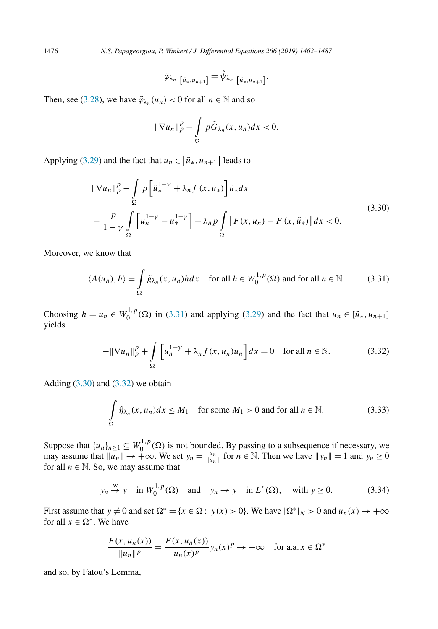<span id="page-14-0"></span>1476 *N.S. Papageorgiou, P. Winkert / J. Differential Equations 266 (2019) 1462–1487*

$$
\tilde{\varphi}_{\lambda_n}\big|_{\left[\tilde{u}_*,u_{n+1}\right]}=\hat{\psi}_{\lambda_n}\big|_{\left[\tilde{u}_*,u_{n+1}\right]}.
$$

Then, see [\(3.28\)](#page-13-0), we have  $\tilde{\varphi}_{\lambda_n}(u_n) < 0$  for all  $n \in \mathbb{N}$  and so

$$
\|\nabla u_n\|_p^p - \int_{\Omega} p\tilde{G}_{\lambda_n}(x, u_n)dx < 0.
$$

Applying [\(3.29\)](#page-13-0) and the fact that  $u_n \in [\tilde{u}_*, u_{n+1}]$  leads to

$$
\|\nabla u_n\|_p^p - \int_{\Omega} p\left[\tilde{u}_*^{1-\gamma} + \lambda_n f(x, \tilde{u}_*)\right] \tilde{u}_* dx
$$
  
 
$$
-\frac{p}{1-\gamma} \int_{\Omega} \left[u_n^{1-\gamma} - u_*^{1-\gamma}\right] - \lambda_n p \int_{\Omega} \left[F(x, u_n) - F(x, \tilde{u}_*)\right] dx < 0.
$$
 (3.30)

Moreover, we know that

$$
\langle A(u_n), h \rangle = \int_{\Omega} \tilde{g}_{\lambda_n}(x, u_n) h dx \quad \text{for all } h \in W_0^{1, p}(\Omega) \text{ and for all } n \in \mathbb{N}.
$$
 (3.31)

Choosing  $h = u_n \in W_0^{1,p}(\Omega)$  in (3.31) and applying [\(3.29\)](#page-13-0) and the fact that  $u_n \in [\tilde{u}_*, u_{n+1}]$ yields

$$
-\|\nabla u_n\|_p^p + \int\limits_{\Omega} \left[ u_n^{1-\gamma} + \lambda_n f(x, u_n) u_n \right] dx = 0 \quad \text{for all } n \in \mathbb{N}.
$$
 (3.32)

Adding  $(3.30)$  and  $(3.32)$  we obtain

$$
\int_{\Omega} \hat{\eta}_{\lambda_n}(x, u_n) dx \le M_1 \quad \text{for some } M_1 > 0 \text{ and for all } n \in \mathbb{N}.
$$
 (3.33)

Suppose that  $\{u_n\}_{n\geq 1} \subseteq W_0^{1,p}(\Omega)$  is not bounded. By passing to a subsequence if necessary, we may assume that  $||u_n|| \to +\infty$ . We set  $y_n = \frac{u_n}{||u_n||}$  for  $n \in \mathbb{N}$ . Then we have  $||y_n|| = 1$  and  $y_n \ge 0$ for all  $n \in \mathbb{N}$ . So, we may assume that

$$
y_n \stackrel{w}{\rightarrow} y
$$
 in  $W_0^{1,p}(\Omega)$  and  $y_n \rightarrow y$  in  $L^r(\Omega)$ , with  $y \ge 0$ . (3.34)

First assume that  $y \neq 0$  and set  $\Omega^* = \{x \in \Omega : y(x) > 0\}$ . We have  $|\Omega^*|_N > 0$  and  $u_n(x) \to +\infty$ for all  $x \in \Omega^*$ . We have

$$
\frac{F(x, u_n(x))}{\|u_n\|^p} = \frac{F(x, u_n(x))}{u_n(x)^p} y_n(x)^p \to +\infty \quad \text{for a.a. } x \in \Omega^*
$$

and so, by Fatou's Lemma,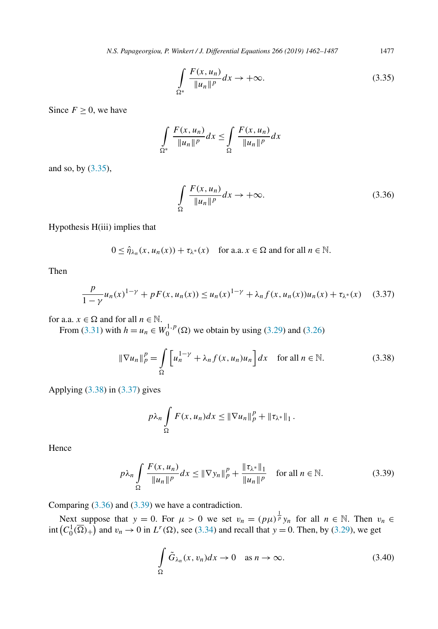<span id="page-15-0"></span>*N.S. Papageorgiou, P. Winkert / J. Differential Equations 266 (2019) 1462–1487* 1477

$$
\int_{\Omega^*} \frac{F(x, u_n)}{\|u_n\|^p} dx \to +\infty.
$$
\n(3.35)

Since  $F \geq 0$ , we have

$$
\int_{\Omega^*} \frac{F(x, u_n)}{\|u_n\|^p} dx \le \int_{\Omega} \frac{F(x, u_n)}{\|u_n\|^p} dx
$$

and so, by (3.35),

$$
\int_{\Omega} \frac{F(x, u_n)}{\|u_n\|^p} dx \to +\infty.
$$
\n(3.36)

Hypothesis H(iii) implies that

 $0 \leq \hat{\eta}_{\lambda_n}(x, u_n(x)) + \tau_{\lambda^*}(x)$  for a.a.  $x \in \Omega$  and for all  $n \in \mathbb{N}$ .

Then

$$
\frac{p}{1-\gamma}u_n(x)^{1-\gamma} + pF(x, u_n(x)) \le u_n(x)^{1-\gamma} + \lambda_n f(x, u_n(x))u_n(x) + \tau_{\lambda^*}(x) \tag{3.37}
$$

for a.a.  $x \in \Omega$  and for all  $n \in \mathbb{N}$ .

From [\(3.31\)](#page-14-0) with  $h = u_n \in W_0^{1,p}(\Omega)$  we obtain by using [\(3.29\)](#page-13-0) and [\(3.26\)](#page-13-0)

$$
\|\nabla u_n\|_p^p = \int\limits_{\Omega} \left[ u_n^{1-\gamma} + \lambda_n f(x, u_n) u_n \right] dx \quad \text{for all } n \in \mathbb{N}.
$$
 (3.38)

Applying (3.38) in (3.37) gives

$$
p\lambda_n \int\limits_{\Omega} F(x, u_n) dx \leq \|\nabla u_n\|_p^p + \|\tau_{\lambda^*}\|_1.
$$

Hence

$$
p\lambda_n \int_{\Omega} \frac{F(x, u_n)}{\|u_n\|^p} dx \le \|\nabla y_n\|_p^p + \frac{\|\tau_{\lambda^*}\|_1}{\|u_n\|^p} \quad \text{for all } n \in \mathbb{N}.
$$
 (3.39)

Comparing (3.36) and (3.39) we have a contradiction.

Next suppose that  $y = 0$ . For  $\mu > 0$  we set  $v_n = (p\mu)^{\frac{1}{p}} y_n$  for all  $n \in \mathbb{N}$ . Then  $v_n \in$  $\int_{0}^{1} (C_0^1(\overline{\Omega})_+)$  and  $v_n \to 0$  in  $L^r(\Omega)$ , see [\(3.34\)](#page-14-0) and recall that  $y = 0$ . Then, by [\(3.29\)](#page-13-0), we get

$$
\int_{\Omega} \tilde{G}_{\lambda_n}(x, v_n) dx \to 0 \quad \text{as } n \to \infty.
$$
\n(3.40)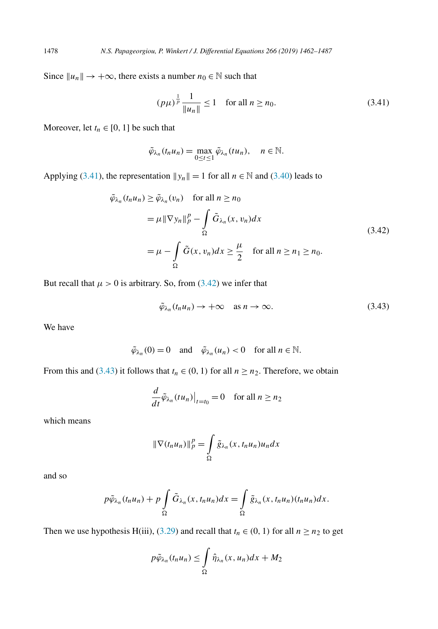Since  $||u_n|| \to +\infty$ , there exists a number  $n_0 \in \mathbb{N}$  such that

$$
(p\mu)^{\frac{1}{p}} \frac{1}{\|u_n\|} \le 1 \quad \text{for all } n \ge n_0. \tag{3.41}
$$

Moreover, let  $t_n \in [0, 1]$  be such that

$$
\tilde{\varphi}_{\lambda_n}(t_nu_n)=\max_{0\leq t\leq 1}\tilde{\varphi}_{\lambda_n}(tu_n),\quad n\in\mathbb{N}.
$$

Applying (3.41), the representation  $||y_n|| = 1$  for all  $n \in \mathbb{N}$  and [\(3.40\)](#page-15-0) leads to

$$
\tilde{\varphi}_{\lambda_n}(t_n u_n) \ge \tilde{\varphi}_{\lambda_n}(v_n) \quad \text{for all } n \ge n_0
$$
\n
$$
= \mu \|\nabla y_n\|_p^p - \int_{\Omega} \tilde{G}_{\lambda_n}(x, v_n) dx
$$
\n
$$
= \mu - \int_{\Omega} \tilde{G}(x, v_n) dx \ge \frac{\mu}{2} \quad \text{for all } n \ge n_1 \ge n_0.
$$
\n(3.42)

But recall that  $\mu > 0$  is arbitrary. So, from (3.42) we infer that

$$
\tilde{\varphi}_{\lambda_n}(t_n u_n) \to +\infty \quad \text{as } n \to \infty. \tag{3.43}
$$

We have

$$
\tilde{\varphi}_{\lambda_n}(0) = 0
$$
 and  $\tilde{\varphi}_{\lambda_n}(u_n) < 0$  for all  $n \in \mathbb{N}$ .

From this and (3.43) it follows that  $t_n \in (0, 1)$  for all  $n \ge n_2$ . Therefore, we obtain

$$
\frac{d}{dt}\tilde{\varphi}_{\lambda_n}(tu_n)\big|_{t=t_0} = 0 \quad \text{for all } n \ge n_2
$$

which means

$$
\|\nabla(t_n u_n)\|_p^p = \int\limits_{\Omega} \tilde{g}_{\lambda_n}(x, t_n u_n) u_n dx
$$

and so

$$
p\tilde{\varphi}_{\lambda_n}(t_nu_n)+p\int\limits_{\Omega}\tilde{G}_{\lambda_n}(x,t_nu_n)dx=\int\limits_{\Omega}\tilde{g}_{\lambda_n}(x,t_nu_n)(t_nu_n)dx.
$$

Then we use hypothesis H(iii), [\(3.29\)](#page-13-0) and recall that  $t_n \in (0, 1)$  for all  $n \ge n_2$  to get

$$
p\tilde{\varphi}_{\lambda_n}(t_nu_n)\leq \int\limits_{\Omega}\hat{\eta}_{\lambda_n}(x,u_n)dx+M_2
$$

<span id="page-16-0"></span>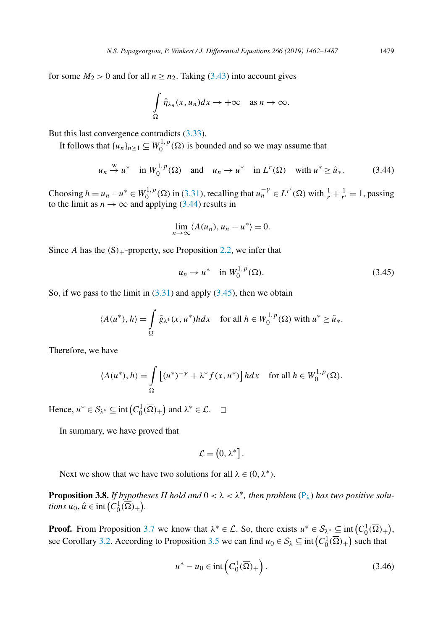<span id="page-17-0"></span>for some  $M_2 > 0$  and for all  $n \ge n_2$ . Taking [\(3.43\)](#page-16-0) into account gives

$$
\int\limits_{\Omega} \hat{\eta}_{\lambda_n}(x, u_n) dx \to +\infty \quad \text{as } n \to \infty.
$$

But this last convergence contradicts [\(3.33\)](#page-14-0).

It follows that  $\{u_n\}_{n\geq 1} \subseteq W_0^{1,p}(\Omega)$  is bounded and so we may assume that

$$
u_n \stackrel{w}{\rightarrow} u^*
$$
 in  $W_0^{1,p}(\Omega)$  and  $u_n \rightarrow u^*$  in  $L^r(\Omega)$  with  $u^* \ge \tilde{u}_*$ . (3.44)

Choosing  $h = u_n - u^* \in W_0^{1,p}(\Omega)$  in [\(3.31\)](#page-14-0), recalling that  $u_n^{-\gamma} \in L^{r'}(\Omega)$  with  $\frac{1}{r} + \frac{1}{r'} = 1$ , passing to the limit as  $n \to \infty$  and applying (3.44) results in

$$
\lim_{n\to\infty}\langle A(u_n),u_n-u^*\rangle=0.
$$

Since *A* has the  $(S)$ <sub>+</sub>-property, see Proposition [2.2,](#page-3-0) we infer that

$$
u_n \to u^*
$$
 in  $W_0^{1,p}(\Omega)$ . (3.45)

So, if we pass to the limit in  $(3.31)$  and apply  $(3.45)$ , then we obtain

$$
\langle A(u^*), h \rangle = \int_{\Omega} \tilde{g}_{\lambda^*}(x, u^*) h dx \quad \text{for all } h \in W_0^{1, p}(\Omega) \text{ with } u^* \ge \tilde{u}_*.
$$

Therefore, we have

$$
\langle A(u^*), h \rangle = \int_{\Omega} \left[ (u^*)^{-\gamma} + \lambda^* f(x, u^*) \right] h dx \quad \text{for all } h \in W_0^{1, p}(\Omega).
$$

Hence,  $u^* \in S_{\lambda^*} \subseteq \text{int}\left(C_0^1(\overline{\Omega})_+\right)$  and  $\lambda^* \in \mathcal{L}$ .  $\Box$ 

In summary, we have proved that

$$
\mathcal{L}=\left( 0,\lambda^{\ast}\right] .
$$

Next we show that we have two solutions for all  $\lambda \in (0, \lambda^*)$ .

**Proposition 3.8.** *If hypotheses H hold* and  $0 < \lambda < \lambda^*$ , *then problem*  $(P_{\lambda})$  $(P_{\lambda})$  *has two positive solutions*  $u_0$ ,  $\hat{u} \in \text{int}\left(C_0^1(\overline{\Omega})_+\right)$ .

**Proof.** From Proposition [3.7](#page-12-0) we know that  $\lambda^* \in \mathcal{L}$ . So, there exists  $u^* \in \mathcal{S}_{\lambda^*} \subseteq \text{int}(C_0^1(\overline{\Omega})_+),$ see Corollary [3.2.](#page-9-0) According to Proposition [3.5](#page-11-0) we can find  $u_0 \in S_\lambda \subseteq \text{int}(C_0^1(\overline{\Omega})_+)$  such that

$$
u^* - u_0 \in \text{int}\left(C_0^1(\overline{\Omega})_+\right). \tag{3.46}
$$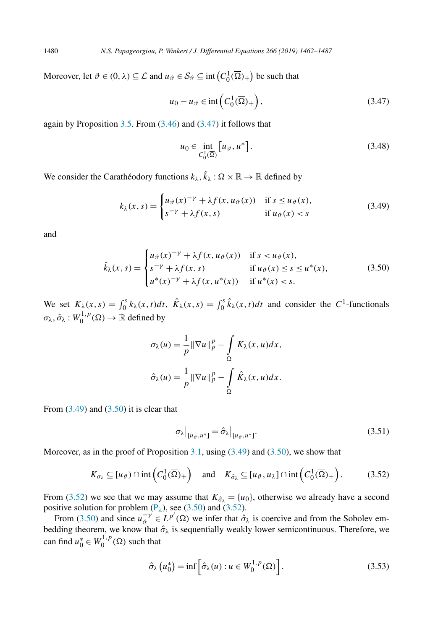Moreover, let  $\vartheta \in (0, \lambda) \subseteq \mathcal{L}$  and  $u_{\vartheta} \in S_{\vartheta} \subseteq \text{int}(C_0^1(\overline{\Omega})_+)$  be such that

$$
u_0 - u_{\vartheta} \in \text{int}\left(C_0^1(\overline{\Omega})_+\right),\tag{3.47}
$$

again by Proposition  $3.5$ . From  $(3.46)$  and  $(3.47)$  it follows that

$$
u_0 \in \inf_{C_0^1(\overline{\Omega})} \left[ u_{\vartheta}, u^* \right]. \tag{3.48}
$$

We consider the Carathéodory functions  $k_{\lambda}$ ,  $\hat{k}_{\lambda}$  :  $\Omega \times \mathbb{R} \to \mathbb{R}$  defined by

$$
k_{\lambda}(x,s) = \begin{cases} u_{\vartheta}(x)^{-\gamma} + \lambda f(x, u_{\vartheta}(x)) & \text{if } s \le u_{\vartheta}(x), \\ s^{-\gamma} + \lambda f(x,s) & \text{if } u_{\vartheta}(x) < s \end{cases} \tag{3.49}
$$

and

$$
\hat{k}_{\lambda}(x,s) = \begin{cases}\nu_{\vartheta}(x)^{-\gamma} + \lambda f(x, u_{\vartheta}(x)) & \text{if } s < u_{\vartheta}(x), \\
s^{-\gamma} + \lambda f(x,s) & \text{if } u_{\vartheta}(x) \le s \le u^*(x), \\
u^*(x)^{-\gamma} + \lambda f(x, u^*(x)) & \text{if } u^*(x) < s.\n\end{cases}
$$
\n(3.50)

We set  $K_{\lambda}(x, s) = \int_0^s k_{\lambda}(x, t)dt$ ,  $\hat{K}_{\lambda}(x, s) = \int_0^s \hat{k}_{\lambda}(x, t)dt$  and consider the  $C^1$ -functionals  $\sigma$ λ,  $\hat{\sigma}$ λ :  $W_0^{1,p}$  (Ω) → R defined by

$$
\sigma_{\lambda}(u) = \frac{1}{p} \|\nabla u\|_{p}^{p} - \int_{\Omega} K_{\lambda}(x, u) dx,
$$

$$
\hat{\sigma}_{\lambda}(u) = \frac{1}{p} \|\nabla u\|_{p}^{p} - \int_{\Omega} \hat{K}_{\lambda}(x, u) dx.
$$

From  $(3.49)$  and  $(3.50)$  it is clear that

$$
\sigma_{\lambda}|_{[u_{\vartheta},u^*]} = \hat{\sigma}_{\lambda}|_{[u_{\vartheta},u^*]}.
$$
\n(3.51)

Moreover, as in the proof of Proposition [3.1,](#page-5-0) using  $(3.49)$  and  $(3.50)$ , we show that

$$
K_{\sigma_{\lambda}} \subseteq [u_{\vartheta}) \cap \text{int}\left(C_0^1(\overline{\Omega})_+\right) \text{ and } K_{\hat{\sigma}_{\lambda}} \subseteq [u_{\vartheta}, u_{\lambda}] \cap \text{int}\left(C_0^1(\overline{\Omega})_+\right).
$$
 (3.52)

From (3.52) we see that we may assume that  $K_{\hat{\sigma}_{\lambda}} = \{u_0\}$ , otherwise we already have a second positive solution for problem  $(P_{\lambda})$  $(P_{\lambda})$ , see (3.50) and (3.52).

From (3.50) and since  $u_{\theta}^{-\gamma} \in L^{p'}(\Omega)$  we infer that  $\hat{\sigma}_{\lambda}$  is coercive and from the Sobolev embedding theorem, we know that  $\hat{\sigma}_{\lambda}$  is sequentially weakly lower semicontinuous. Therefore, we can find  $u_0^* \in W_0^{1,p}(\Omega)$  such that

$$
\hat{\sigma}_{\lambda}(u_0^*) = \inf \left[ \hat{\sigma}_{\lambda}(u) : u \in W_0^{1,p}(\Omega) \right]. \tag{3.53}
$$

<span id="page-18-0"></span>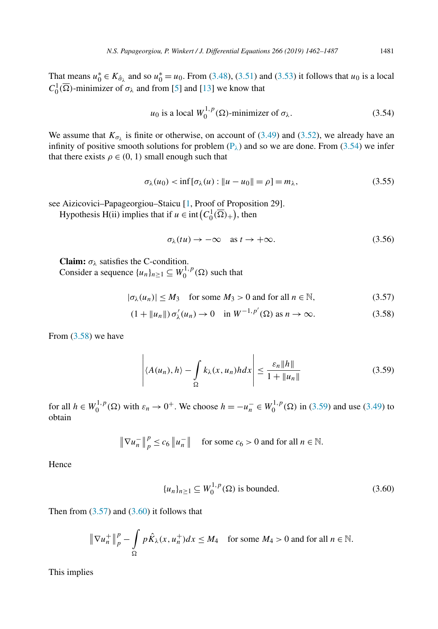<span id="page-19-0"></span>That means  $u_0^* \in K_{\hat{\sigma}_\lambda}$  and so  $u_0^* = u_0$ . From [\(3.48\)](#page-18-0), [\(3.51\)](#page-18-0) and [\(3.53\)](#page-18-0) it follows that  $u_0$  is a local  $C_0^1(\overline{\Omega})$ -minimizer of  $\sigma_{\lambda}$  and from [\[5\]](#page-25-0) and [\[13\]](#page-25-0) we know that

$$
u_0
$$
 is a local  $W_0^{1,p}(\Omega)$ -minimizer of  $\sigma_\lambda$ . (3.54)

We assume that  $K_{\sigma_{\lambda}}$  is finite or otherwise, on account of [\(3.49\)](#page-18-0) and [\(3.52\)](#page-18-0), we already have an infinity of positive smooth solutions for problem  $(P_\lambda)$  $(P_\lambda)$  and so we are done. From (3.54) we infer that there exists  $\rho \in (0, 1)$  small enough such that

$$
\sigma_{\lambda}(u_0) < \inf \left[ \sigma_{\lambda}(u) : \|u - u_0\| = \rho \right] = m_{\lambda},\tag{3.55}
$$

see Aizicovici–Papageorgiou–Staicu [\[1,](#page-25-0) Proof of Proposition 29].

Hypothesis H(ii) implies that if  $u \in \text{int}\left(C_0^1(\overline{\Omega})_+\right)$ , then

$$
\sigma_{\lambda}(tu) \to -\infty \quad \text{as } t \to +\infty. \tag{3.56}
$$

**Claim:**  $\sigma_{\lambda}$  satisfies the C-condition. Consider a sequence  $\{u_n\}_{n\geq 1} \subseteq W_0^{1,p}(\Omega)$  such that

$$
|\sigma_{\lambda}(u_n)| \le M_3 \quad \text{for some } M_3 > 0 \text{ and for all } n \in \mathbb{N}, \tag{3.57}
$$

$$
(1 + ||u_n||) \sigma'_{\lambda}(u_n) \to 0 \quad \text{in } W^{-1,p'}(\Omega) \text{ as } n \to \infty.
$$
 (3.58)

From (3.58) we have

$$
\left| \langle A(u_n), h \rangle - \int_{\Omega} k_{\lambda}(x, u_n) h dx \right| \le \frac{\varepsilon_n \|h\|}{1 + \|u_n\|} \tag{3.59}
$$

for all  $h \in W_0^{1,p}(\Omega)$  with  $\varepsilon_n \to 0^+$ . We choose  $h = -u_n^- \in W_0^{1,p}(\Omega)$  in (3.59) and use [\(3.49\)](#page-18-0) to obtain

> $\|\nabla u_n^-\|$  $p_p^p \le c_6 ||u_n^-||$  for some  $c_6 > 0$  and for all  $n \in \mathbb{N}$ .

Hence

$$
\{u_n\}_{n\geq 1} \subseteq W_0^{1,p}(\Omega) \text{ is bounded.}
$$
\n
$$
(3.60)
$$

Then from  $(3.57)$  and  $(3.60)$  it follows that

$$
\|\nabla u_n^+\|_p^p - \int_{\Omega} p\hat{K}_{\lambda}(x, u_n^+)dx \le M_4 \quad \text{for some } M_4 > 0 \text{ and for all } n \in \mathbb{N}.
$$

This implies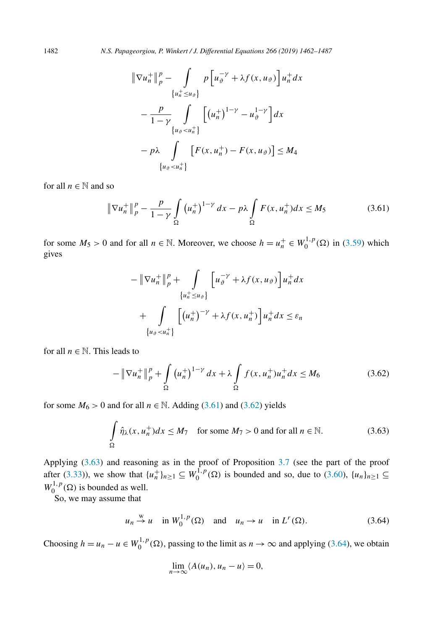1482 *N.S. Papageorgiou, P. Winkert / J. Differential Equations 266 (2019) 1462–1487*

$$
\begin{aligned} \|\nabla u_n^+\|_p^p & - \int_{\{u_n^+\le u_\partial\}} p\left[u_\partial^{-\gamma} + \lambda f(x, u_\partial)\right] u_n^+ dx \\ &- \frac{p}{1-\gamma} \int_{\{u_\partial < u_n^+\}} \left[ (u_n^+)^{1-\gamma} - u_\partial^{1-\gamma} \right] dx \\ &- p\lambda \int_{\{u_\partial < u_n^+\}} \left[ F(x, u_n^+) - F(x, u_\partial) \right] \le M_4 \end{aligned}
$$

for all  $n \in \mathbb{N}$  and so

$$
\|\nabla u_n^+\|_p^p - \frac{p}{1-\gamma} \int\limits_{\Omega} \left(u_n^+\right)^{1-\gamma} dx - p\lambda \int\limits_{\Omega} F(x, u_n^+) dx \le M_5 \tag{3.61}
$$

for some  $M_5 > 0$  and for all  $n \in \mathbb{N}$ . Moreover, we choose  $h = u_n^+ \in W_0^{1,p}(\Omega)$  in [\(3.59\)](#page-19-0) which gives

$$
-\|\nabla u_n^+\|_p^p + \int_{\{u_n^+\leq u_\partial\}} \left[u_\partial^{-\gamma} + \lambda f(x, u_\partial)\right] u_n^+ dx
$$
  
+ 
$$
\int_{\{u_\partial < u_n^+\}} \left[\left(u_n^+\right)^{-\gamma} + \lambda f(x, u_n^+)\right] u_n^+ dx \leq \varepsilon_n
$$

for all  $n \in \mathbb{N}$ . This leads to

$$
-\|\nabla u_n^+\|_p^p + \int_{\Omega} (u_n^+)^{1-\gamma} dx + \lambda \int_{\Omega} f(x, u_n^+) u_n^+ dx \le M_6 \tag{3.62}
$$

for some  $M_6 > 0$  and for all  $n \in \mathbb{N}$ . Adding (3.61) and (3.62) yields

$$
\int_{\Omega} \hat{\eta}_{\lambda}(x, u_n^+) dx \le M_7 \quad \text{for some } M_7 > 0 \text{ and for all } n \in \mathbb{N}.
$$
 (3.63)

Applying (3.63) and reasoning as in the proof of Proposition [3.7](#page-12-0) (see the part of the proof after [\(3.33\)](#page-14-0)), we show that  $\{u_n^+\}_{n\geq 1} \subseteq W_0^{1,p}(\Omega)$  is bounded and so, due to [\(3.60\)](#page-19-0),  $\{u_n\}_{n\geq 1} \subseteq$  $W_0^{1,p}(\Omega)$  is bounded as well.

So, we may assume that

$$
u_n \stackrel{w}{\rightarrow} u
$$
 in  $W_0^{1,p}(\Omega)$  and  $u_n \rightarrow u$  in  $L^r(\Omega)$ . (3.64)

Choosing  $h = u_n - u \in W_0^{1,p}(\Omega)$ , passing to the limit as  $n \to \infty$  and applying (3.64), we obtain

$$
\lim_{n\to\infty}\langle A(u_n),u_n-u\rangle=0,
$$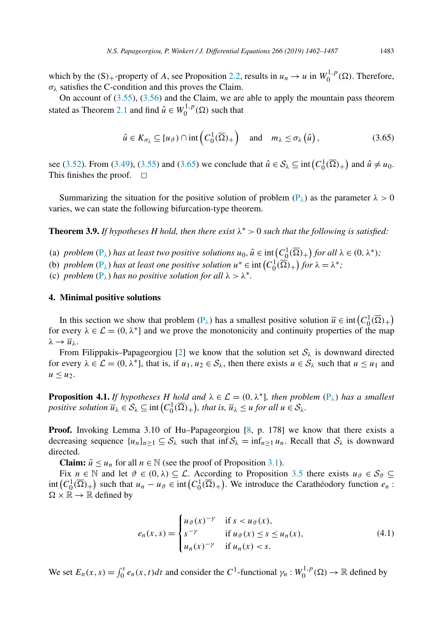<span id="page-21-0"></span>which by the  $(S)$ <sub>+</sub>-property of *A*, see Proposition [2.2,](#page-3-0) results in  $u_n \to u$  in  $W_0^{1,p}(\Omega)$ . Therefore,  $\sigma_{\lambda}$  satisfies the C-condition and this proves the Claim.

On account of [\(3.55\)](#page-19-0), [\(3.56\)](#page-19-0) and the Claim, we are able to apply the mountain pass theorem stated as Theorem [2.1](#page-1-0) and find  $\hat{u} \in W_0^{1,p}(\Omega)$  such that

$$
\hat{u} \in K_{\sigma_{\lambda}} \subseteq [u_{\vartheta}) \cap \mathrm{int}\left(C_0^1(\overline{\Omega})_+\right) \quad \text{and} \quad m_{\lambda} \le \sigma_{\lambda}\left(\hat{u}\right),\tag{3.65}
$$

see [\(3.52\)](#page-18-0). From [\(3.49\)](#page-18-0), [\(3.55\)](#page-19-0) and (3.65) we conclude that  $\hat{u} \in S_{\lambda} \subseteq \text{int}\left(C_0^1(\overline{\Omega})_+\right)$  and  $\hat{u} \neq u_0$ . This finishes the proof.  $\Box$ 

Summarizing the situation for the positive solution of problem ( $P<sub>λ</sub>$ ) as the parameter  $λ > 0$ varies, we can state the following bifurcation-type theorem.

**Theorem 3.9.** *If hypotheses H hold, then there exist*  $\lambda^* > 0$  *such that the following is satisfied:* 

- (a) problem  $(P_\lambda)$  $(P_\lambda)$  has at least two positive solutions  $u_0, \hat{u} \in \text{int}\left(C_0^1(\overline{\Omega})_+\right)$  for all  $\lambda \in (0, \lambda^*)$ ;
- (b) *problem*  $(P_\lambda)$  $(P_\lambda)$  *has at least one positive solution*  $u^* \in \text{int}\left(C_0^1(\overline{\Omega})_+\right)$  *for*  $\lambda = \lambda^*$ ;

(c) *problem*  $(P_{\lambda})$  $(P_{\lambda})$  *has no positive solution for all*  $\lambda > \lambda^*$ *.* 

#### **4. Minimal positive solutions**

In this section we show that problem  $(P_\lambda)$  $(P_\lambda)$  has a smallest positive solution  $\overline{u} \in \text{int}\left(C_0^1(\overline{\Omega})_+\right)$ for every  $\lambda \in \mathcal{L} = (0, \lambda^*)$  and we prove the monotonicity and continuity properties of the map  $λ \rightarrow \overline{u}_λ$ .

From Filippakis–Papageorgiou [\[2\]](#page-25-0) we know that the solution set  $S_\lambda$  is downward directed for every  $\lambda \in \mathcal{L} = (0, \lambda^*)$ , that is, if  $u_1, u_2 \in S_\lambda$ , then there exists  $u \in S_\lambda$  such that  $u \leq u_1$  and  $u \leq u_2$ .

**Proposition 4.1.** *If hypotheses H hold* and  $\lambda \in \mathcal{L} = (0, \lambda^*]$ *, then problem*  $(P_{\lambda})$  $(P_{\lambda})$  *has a smallest positive solution*  $\overline{u}_{\lambda} \in S_{\lambda} \subseteq \text{int}\left(C_0^1(\overline{\Omega})_+\right)$ , that is,  $\overline{u}_{\lambda} \leq u$  for all  $u \in S_{\lambda}$ .

**Proof.** Invoking Lemma 3.10 of Hu–Papageorgiou [\[8,](#page-25-0) p. 178] we know that there exists a decreasing sequence  $\{u_n\}_{n>1} \subseteq S_\lambda$  such that inf $S_\lambda = \inf_{n>1} u_n$ . Recall that  $S_\lambda$  is downward directed.

**Claim:**  $\tilde{u} \leq u_n$  for all  $n \in \mathbb{N}$  (see the proof of Proposition [3.1\)](#page-5-0).

Fix  $n \in \mathbb{N}$  and let  $\vartheta \in (0, \lambda) \subseteq \mathcal{L}$ . According to Proposition [3.5](#page-11-0) there exists  $u_{\vartheta} \in \mathcal{S}_{\vartheta} \subseteq$  $\text{int}\left(C_0^1(\overline{\Omega})_+\right)$  such that  $u_n - u_{\vartheta} \in \text{int}\left(C_0^1(\overline{\Omega})_+\right)$ . We introduce the Carathéodory function  $e_n$ :  $\Omega \times \mathbb{R} \to \mathbb{R}$  defined by

$$
e_n(x,s) = \begin{cases} u_{\vartheta}(x)^{-\gamma} & \text{if } s < u_{\vartheta}(x), \\ s^{-\gamma} & \text{if } u_{\vartheta}(x) \le s \le u_n(x), \\ u_n(x)^{-\gamma} & \text{if } u_n(x) < s. \end{cases} \tag{4.1}
$$

We set  $E_n(x, s) = \int_0^s e_n(x, t)dt$  and consider the  $C^1$ -functional  $\gamma_n : W_0^{1,p}(\Omega) \to \mathbb{R}$  defined by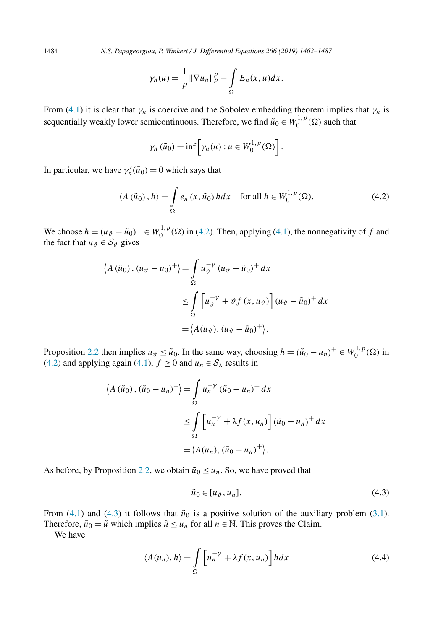<span id="page-22-0"></span>1484 *N.S. Papageorgiou, P. Winkert / J. Differential Equations 266 (2019) 1462–1487*

$$
\gamma_n(u) = \frac{1}{p} \|\nabla u_n\|_p^p - \int_{\Omega} E_n(x, u) dx.
$$

From [\(4.1\)](#page-21-0) it is clear that  $\gamma_n$  is coercive and the Sobolev embedding theorem implies that  $\gamma_n$  is sequentially weakly lower semicontinuous. Therefore, we find  $\tilde{u}_0 \in W_0^{1,p}(\Omega)$  such that

$$
\gamma_n(\tilde{u}_0) = \inf \left[ \gamma_n(u) : u \in W_0^{1,p}(\Omega) \right].
$$

In particular, we have  $\gamma'_n(\tilde{u}_0) = 0$  which says that

$$
\langle A(\tilde{u}_0), h \rangle = \int_{\Omega} e_n(x, \tilde{u}_0) h dx \quad \text{for all } h \in W_0^{1, p}(\Omega). \tag{4.2}
$$

We choose  $h = (u_{\vartheta} - \tilde{u}_0)^+ \in W_0^{1,p}(\Omega)$  in (4.2). Then, applying [\(4.1\)](#page-21-0), the nonnegativity of *f* and the fact that  $u_{\vartheta} \in S_{\vartheta}$  gives

$$
\langle A(\tilde{u}_0), (u_{\vartheta} - \tilde{u}_0)^+ \rangle = \int_{\Omega} u_{\vartheta}^{-\gamma} (u_{\vartheta} - \tilde{u}_0)^+ dx
$$
  

$$
\leq \int_{\Omega} \left[ u_{\vartheta}^{-\gamma} + \vartheta f(x, u_{\vartheta}) \right] (u_{\vartheta} - \tilde{u}_0)^+ dx
$$
  

$$
= \langle A(u_{\vartheta}), (u_{\vartheta} - \tilde{u}_0)^+ \rangle.
$$

Proposition [2.2](#page-3-0) then implies  $u_{\vartheta} \leq \tilde{u}_0$ . In the same way, choosing  $h = (\tilde{u}_0 - u_n)^+ \in W_0^{1,p}(\Omega)$  in (4.2) and applying again [\(4.1\)](#page-21-0),  $f \ge 0$  and  $u_n \in S_\lambda$  results in

$$
\langle A(\tilde{u}_0), (\tilde{u}_0 - u_n)^+ \rangle = \int_{\Omega} u_n^{-\gamma} (\tilde{u}_0 - u_n)^+ dx
$$
  

$$
\leq \int_{\Omega} \left[ u_n^{-\gamma} + \lambda f(x, u_n) \right] (\tilde{u}_0 - u_n)^+ dx
$$
  

$$
= \langle A(u_n), (\tilde{u}_0 - u_n)^+ \rangle.
$$

As before, by Proposition [2.2,](#page-3-0) we obtain  $\tilde{u}_0 \leq u_n$ . So, we have proved that

$$
\tilde{u}_0 \in [u_{\vartheta}, u_n]. \tag{4.3}
$$

From [\(4.1\)](#page-21-0) and (4.3) it follows that  $\tilde{u}_0$  is a positive solution of the auxiliary problem [\(3.1\)](#page-5-0). Therefore,  $\tilde{u}_0 = \tilde{u}$  which implies  $\tilde{u} \leq u_n$  for all  $n \in \mathbb{N}$ . This proves the Claim.

We have

$$
\langle A(u_n), h \rangle = \int_{\Omega} \left[ u_n^{-\gamma} + \lambda f(x, u_n) \right] h dx \tag{4.4}
$$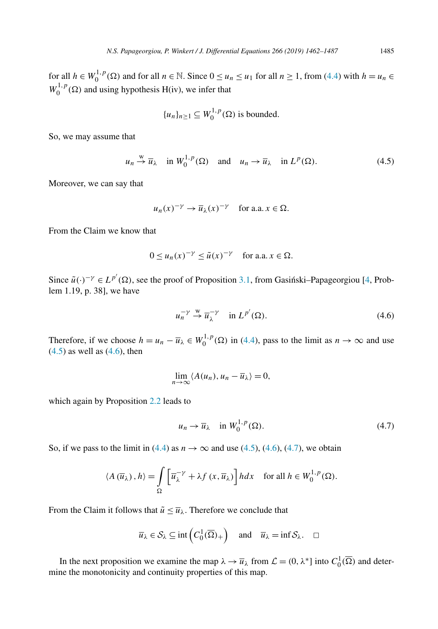for all  $h \in W_0^{1,p}(\Omega)$  and for all  $n \in \mathbb{N}$ . Since  $0 \le u_n \le u_1$  for all  $n \ge 1$ , from [\(4.4\)](#page-22-0) with  $h = u_n \in \mathbb{N}$ .  $W_0^{1,p}(\Omega)$  and using hypothesis H(iv), we infer that

$$
{u_n}_{n\geq 1} \subseteq W_0^{1,p}(\Omega)
$$
 is bounded.

So, we may assume that

$$
u_n \stackrel{w}{\rightarrow} \overline{u}_\lambda
$$
 in  $W_0^{1,p}(\Omega)$  and  $u_n \rightarrow \overline{u}_\lambda$  in  $L^p(\Omega)$ . (4.5)

Moreover, we can say that

$$
u_n(x)^{-\gamma} \to \overline{u}_{\lambda}(x)^{-\gamma}
$$
 for a.a.  $x \in \Omega$ .

From the Claim we know that

$$
0 \le u_n(x)^{-\gamma} \le \tilde{u}(x)^{-\gamma} \quad \text{for a.a. } x \in \Omega.
$$

Since  $\tilde{u}(\cdot)^{-\gamma} \in L^{p'}(\Omega)$ , see the proof of Proposition [3.1,](#page-5-0) from Gasinski–Papageorgiou [\[4,](#page-25-0) Problem 1.19, p. 38], we have

$$
u_n^{-\gamma} \stackrel{\text{w}}{\to} \overline{u}_\lambda^{-\gamma} \quad \text{in } L^{p'}(\Omega). \tag{4.6}
$$

Therefore, if we choose  $h = u_n - \overline{u}_\lambda \in W_0^{1,p}(\Omega)$  in [\(4.4\)](#page-22-0), pass to the limit as  $n \to \infty$  and use  $(4.5)$  as well as  $(4.6)$ , then

$$
\lim_{n\to\infty}\langle A(u_n),u_n-\overline{u}_\lambda\rangle=0,
$$

which again by Proposition [2.2](#page-3-0) leads to

$$
u_n \to \overline{u}_\lambda \quad \text{in } W_0^{1,p}(\Omega). \tag{4.7}
$$

So, if we pass to the limit in [\(4.4\)](#page-22-0) as  $n \to \infty$  and use (4.5), (4.6), (4.7), we obtain

$$
\langle A(\overline{u}_{\lambda}), h \rangle = \int_{\Omega} \left[ \overline{u}_{\lambda}^{-\gamma} + \lambda f(x, \overline{u}_{\lambda}) \right] h dx \quad \text{for all } h \in W_0^{1, p}(\Omega).
$$

From the Claim it follows that  $\tilde{u} \leq \overline{u}_{\lambda}$ . Therefore we conclude that

$$
\overline{u}_{\lambda} \in S_{\lambda} \subseteq \text{int}\left(C_0^1(\overline{\Omega})_+\right) \text{ and } \overline{u}_{\lambda} = \text{inf } S_{\lambda}. \square
$$

In the next proposition we examine the map  $\lambda \to \overline{u}_{\lambda}$  from  $\mathcal{L} = (0, \lambda^*)$  into  $C_0^1(\overline{\Omega})$  and determine the monotonicity and continuity properties of this map.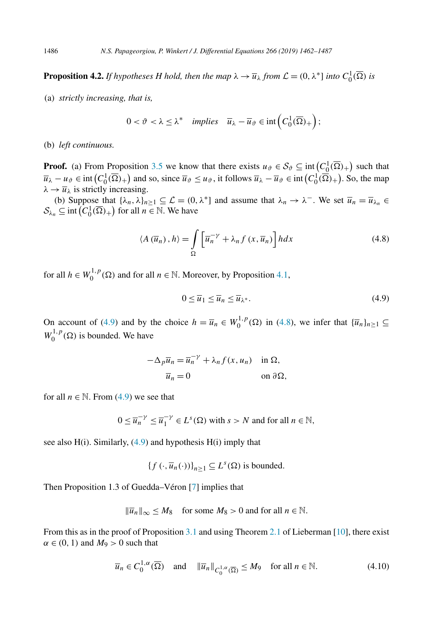<span id="page-24-0"></span>**Proposition 4.2.** *If hypotheses H hold, then the map*  $\lambda \to \overline{u}_{\lambda}$  *from*  $\mathcal{L} = (0, \lambda^*]$  *into*  $C_0^1(\overline{\Omega})$  *is* 

(a) *strictly increasing, that is,*

$$
0 < \vartheta < \lambda \le \lambda^* \quad \textit{implies} \quad \overline{u}_{\lambda} - \overline{u}_{\vartheta} \in \textit{int}\left(C_0^1(\overline{\Omega})_+\right);
$$

(b) *left continuous.*

**Proof.** (a) From Proposition [3.5](#page-11-0) we know that there exists  $u_{\vartheta} \in S_{\vartheta} \subseteq \text{int}\left(C_0^1(\overline{\Omega})_+\right)$  such that  $\overline{u}_{\lambda} - u_{\vartheta} \in \text{int}(C_0^1(\overline{\Omega})_+)$  and so, since  $\overline{u}_{\vartheta} \le u_{\vartheta}$ , it follows  $\overline{u}_{\lambda} - \overline{u}_{\vartheta} \in \text{int}(C_0^1(\overline{\Omega})_+)$ . So, the map  $\lambda \rightarrow \overline{u}_{\lambda}$  is strictly increasing.

(b) Suppose that  $\{\lambda_n, \lambda\}_{n\geq 1} \subseteq L = (0, \lambda^*)$  and assume that  $\lambda_n \to \lambda^-$ . We set  $\overline{u}_n = \overline{u}_{\lambda_n} \in$  $\mathcal{S}_{\lambda_n} \subseteq \text{int}\left(C_0^1(\overline{\Omega})_+\right)$  for all  $n \in \mathbb{N}$ . We have

$$
\langle A(\overline{u}_n), h \rangle = \int_{\Omega} \left[ \overline{u}_n^{-\gamma} + \lambda_n f(x, \overline{u}_n) \right] h dx \tag{4.8}
$$

for all  $h \in W_0^{1,p}(\Omega)$  and for all  $n \in \mathbb{N}$ . Moreover, by Proposition [4.1,](#page-21-0)

$$
0 \le \overline{u}_1 \le \overline{u}_n \le \overline{u}_{\lambda^*}.
$$
\n
$$
(4.9)
$$

On account of (4.9) and by the choice  $h = \overline{u}_n \in W_0^{1,p}(\Omega)$  in (4.8), we infer that  $\{\overline{u}_n\}_{n \geq 1} \subseteq$  $W_0^{1,p}(\Omega)$  is bounded. We have

$$
-\Delta_p \overline{u}_n = \overline{u}_n^{-\gamma} + \lambda_n f(x, u_n) \quad \text{in } \Omega,
$$
  

$$
\overline{u}_n = 0 \qquad \text{on } \partial \Omega,
$$

for all  $n \in \mathbb{N}$ . From (4.9) we see that

$$
0 \le \overline{u}_n^{-\gamma} \le \overline{u}_1^{-\gamma} \in L^s(\Omega) \text{ with } s > N \text{ and for all } n \in \mathbb{N},
$$

see also  $H(i)$ . Similarly,  $(4.9)$  and hypothesis  $H(i)$  imply that

 ${f:(\cdot,\overline{u}_n(\cdot))}_{n\geq 1} \subseteq L^s(\Omega)$  is bounded.

Then Proposition 1.3 of Guedda–Véron [\[7\]](#page-25-0) implies that

$$
\|\overline{u}_n\|_{\infty} \le M_8 \quad \text{for some } M_8 > 0 \text{ and for all } n \in \mathbb{N}.
$$

From this as in the proof of Proposition [3.1](#page-5-0) and using Theorem [2.1](#page-1-0) of Lieberman [\[10\]](#page-25-0), there exist  $\alpha \in (0, 1)$  and  $M_9 > 0$  such that

$$
\overline{u}_n \in C_0^{1,\alpha}(\overline{\Omega}) \quad \text{and} \quad \|\overline{u}_n\|_{C_0^{1,\alpha}(\overline{\Omega})} \le M_9 \quad \text{for all } n \in \mathbb{N}.
$$